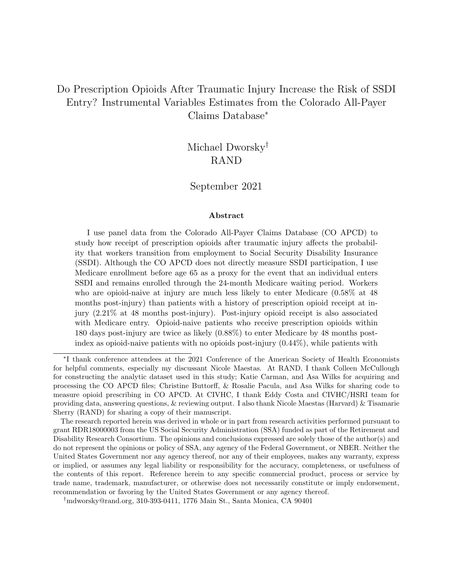### Do Prescription Opioids After Traumatic Injury Increase the Risk of SSDI Entry? Instrumental Variables Estimates from the Colorado All-Payer Claims Database<sup>∗</sup>

Michael Dworsky† RAND

#### September 2021

#### Abstract

I use panel data from the Colorado All-Payer Claims Database (CO APCD) to study how receipt of prescription opioids after traumatic injury affects the probability that workers transition from employment to Social Security Disability Insurance (SSDI). Although the CO APCD does not directly measure SSDI participation, I use Medicare enrollment before age 65 as a proxy for the event that an individual enters SSDI and remains enrolled through the 24-month Medicare waiting period. Workers who are opioid-naive at injury are much less likely to enter Medicare (0.58% at 48 months post-injury) than patients with a history of prescription opioid receipt at injury (2.21% at 48 months post-injury). Post-injury opioid receipt is also associated with Medicare entry. Opioid-naive patients who receive prescription opioids within 180 days post-injury are twice as likely (0.88%) to enter Medicare by 48 months postindex as opioid-naive patients with no opioids post-injury  $(0.44\%)$ , while patients with

<sup>∗</sup> I thank conference attendees at the 2021 Conference of the American Society of Health Economists for helpful comments, especially my discussant Nicole Maestas. At RAND, I thank Colleen McCullough for constructing the analytic dataset used in this study; Katie Carman, and Asa Wilks for acquiring and processing the CO APCD files; Christine Buttorff, & Rosalie Pacula, and Asa Wilks for sharing code to measure opioid prescribing in CO APCD. At CIVHC, I thank Eddy Costa and CIVHC/HSRI team for providing data, answering questions, & reviewing output. I also thank Nicole Maestas (Harvard) & Tisamarie Sherry (RAND) for sharing a copy of their manuscript.

The research reported herein was derived in whole or in part from research activities performed pursuant to grant RDR18000003 from the US Social Security Administration (SSA) funded as part of the Retirement and Disability Research Consortium. The opinions and conclusions expressed are solely those of the author(s) and do not represent the opinions or policy of SSA, any agency of the Federal Government, or NBER. Neither the United States Government nor any agency thereof, nor any of their employees, makes any warranty, express or implied, or assumes any legal liability or responsibility for the accuracy, completeness, or usefulness of the contents of this report. Reference herein to any specific commercial product, process or service by trade name, trademark, manufacturer, or otherwise does not necessarily constitute or imply endorsement, recommendation or favoring by the United States Government or any agency thereof.

<sup>†</sup>mdworsky@rand.org, 310-393-0411, 1776 Main St., Santa Monica, CA 90401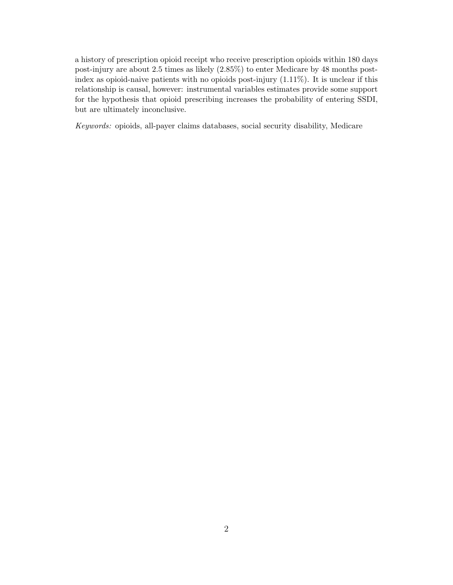a history of prescription opioid receipt who receive prescription opioids within 180 days post-injury are about 2.5 times as likely (2.85%) to enter Medicare by 48 months postindex as opioid-naive patients with no opioids post-injury (1.11%). It is unclear if this relationship is causal, however: instrumental variables estimates provide some support for the hypothesis that opioid prescribing increases the probability of entering SSDI, but are ultimately inconclusive.

Keywords: opioids, all-payer claims databases, social security disability, Medicare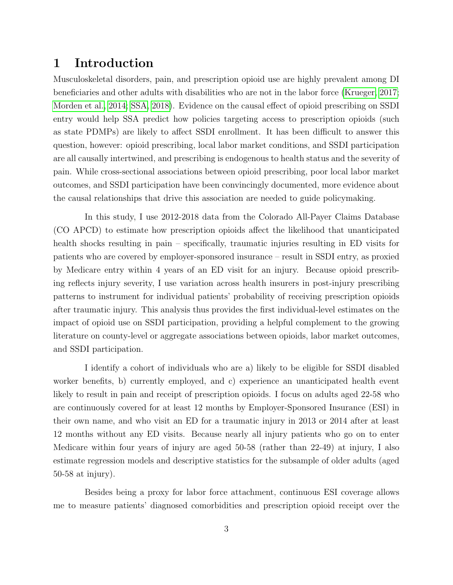#### 1 Introduction

Musculoskeletal disorders, pain, and prescription opioid use are highly prevalent among DI beneficiaries and other adults with disabilities who are not in the labor force [\(Krueger, 2017;](#page-37-0) [Morden et al., 2014;](#page-38-0) [SSA, 2018\)](#page-38-1). Evidence on the causal effect of opioid prescribing on SSDI entry would help SSA predict how policies targeting access to prescription opioids (such as state PDMPs) are likely to affect SSDI enrollment. It has been difficult to answer this question, however: opioid prescribing, local labor market conditions, and SSDI participation are all causally intertwined, and prescribing is endogenous to health status and the severity of pain. While cross-sectional associations between opioid prescribing, poor local labor market outcomes, and SSDI participation have been convincingly documented, more evidence about the causal relationships that drive this association are needed to guide policymaking.

In this study, I use 2012-2018 data from the Colorado All-Payer Claims Database (CO APCD) to estimate how prescription opioids affect the likelihood that unanticipated health shocks resulting in pain – specifically, traumatic injuries resulting in ED visits for patients who are covered by employer-sponsored insurance – result in SSDI entry, as proxied by Medicare entry within 4 years of an ED visit for an injury. Because opioid prescribing reflects injury severity, I use variation across health insurers in post-injury prescribing patterns to instrument for individual patients' probability of receiving prescription opioids after traumatic injury. This analysis thus provides the first individual-level estimates on the impact of opioid use on SSDI participation, providing a helpful complement to the growing literature on county-level or aggregate associations between opioids, labor market outcomes, and SSDI participation.

I identify a cohort of individuals who are a) likely to be eligible for SSDI disabled worker benefits, b) currently employed, and c) experience an unanticipated health event likely to result in pain and receipt of prescription opioids. I focus on adults aged 22-58 who are continuously covered for at least 12 months by Employer-Sponsored Insurance (ESI) in their own name, and who visit an ED for a traumatic injury in 2013 or 2014 after at least 12 months without any ED visits. Because nearly all injury patients who go on to enter Medicare within four years of injury are aged 50-58 (rather than 22-49) at injury, I also estimate regression models and descriptive statistics for the subsample of older adults (aged 50-58 at injury).

Besides being a proxy for labor force attachment, continuous ESI coverage allows me to measure patients' diagnosed comorbidities and prescription opioid receipt over the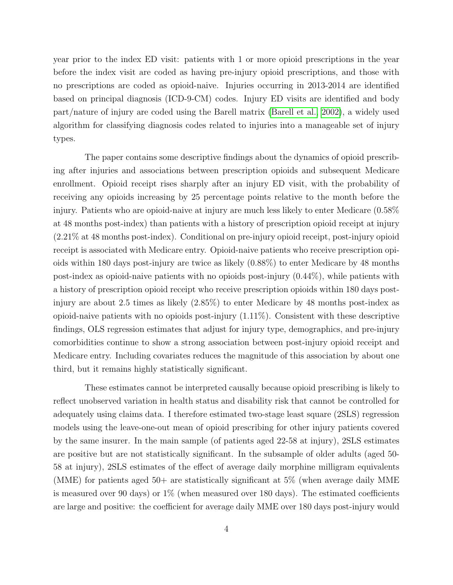year prior to the index ED visit: patients with 1 or more opioid prescriptions in the year before the index visit are coded as having pre-injury opioid prescriptions, and those with no prescriptions are coded as opioid-naive. Injuries occurring in 2013-2014 are identified based on principal diagnosis (ICD-9-CM) codes. Injury ED visits are identified and body part/nature of injury are coded using the Barell matrix [\(Barell et al., 2002\)](#page-37-1), a widely used algorithm for classifying diagnosis codes related to injuries into a manageable set of injury types.

The paper contains some descriptive findings about the dynamics of opioid prescribing after injuries and associations between prescription opioids and subsequent Medicare enrollment. Opioid receipt rises sharply after an injury ED visit, with the probability of receiving any opioids increasing by 25 percentage points relative to the month before the injury. Patients who are opioid-naive at injury are much less likely to enter Medicare (0.58% at 48 months post-index) than patients with a history of prescription opioid receipt at injury (2.21% at 48 months post-index). Conditional on pre-injury opioid receipt, post-injury opioid receipt is associated with Medicare entry. Opioid-naive patients who receive prescription opioids within 180 days post-injury are twice as likely (0.88%) to enter Medicare by 48 months post-index as opioid-naive patients with no opioids post-injury (0.44%), while patients with a history of prescription opioid receipt who receive prescription opioids within 180 days postinjury are about 2.5 times as likely (2.85%) to enter Medicare by 48 months post-index as opioid-naive patients with no opioids post-injury (1.11%). Consistent with these descriptive findings, OLS regression estimates that adjust for injury type, demographics, and pre-injury comorbidities continue to show a strong association between post-injury opioid receipt and Medicare entry. Including covariates reduces the magnitude of this association by about one third, but it remains highly statistically significant.

These estimates cannot be interpreted causally because opioid prescribing is likely to reflect unobserved variation in health status and disability risk that cannot be controlled for adequately using claims data. I therefore estimated two-stage least square (2SLS) regression models using the leave-one-out mean of opioid prescribing for other injury patients covered by the same insurer. In the main sample (of patients aged 22-58 at injury), 2SLS estimates are positive but are not statistically significant. In the subsample of older adults (aged 50- 58 at injury), 2SLS estimates of the effect of average daily morphine milligram equivalents (MME) for patients aged  $50+$  are statistically significant at  $5\%$  (when average daily MME) is measured over 90 days) or  $1\%$  (when measured over 180 days). The estimated coefficients are large and positive: the coefficient for average daily MME over 180 days post-injury would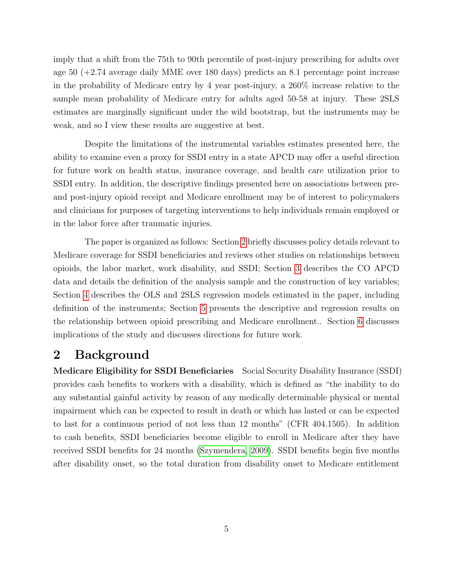imply that a shift from the 75th to 90th percentile of post-injury prescribing for adults over age 50 (+2.74 average daily MME over 180 days) predicts an 8.1 percentage point increase in the probability of Medicare entry by 4 year post-injury, a 260% increase relative to the sample mean probability of Medicare entry for adults aged 50-58 at injury. These 2SLS estimates are marginally significant under the wild bootstrap, but the instruments may be weak, and so I view these results are suggestive at best.

Despite the limitations of the instrumental variables estimates presented here, the ability to examine even a proxy for SSDI entry in a state APCD may offer a useful direction for future work on health status, insurance coverage, and health care utilization prior to SSDI entry. In addition, the descriptive findings presented here on associations between preand post-injury opioid receipt and Medicare enrollment may be of interest to policymakers and clinicians for purposes of targeting interventions to help individuals remain employed or in the labor force after traumatic injuries.

The paper is organized as follows: Section [2](#page-4-0) briefly discusses policy details relevant to Medicare coverage for SSDI beneficiaries and reviews other studies on relationships between opioids, the labor market, work disability, and SSDI; Section [3](#page-10-0) describes the CO APCD data and details the definition of the analysis sample and the construction of key variables; Section [4](#page-23-0) describes the OLS and 2SLS regression models estimated in the paper, including definition of the instruments; Section [5](#page-27-0) presents the descriptive and regression results on the relationship between opioid prescribing and Medicare enrollment.. Section [6](#page-35-0) discusses implications of the study and discusses directions for future work.

#### <span id="page-4-0"></span>2 Background

Medicare Eligibility for SSDI Beneficiaries Social Security Disability Insurance (SSDI) provides cash benefits to workers with a disability, which is defined as "the inability to do any substantial gainful activity by reason of any medically determinable physical or mental impairment which can be expected to result in death or which has lasted or can be expected to last for a continuous period of not less than 12 months" (CFR 404.1505). In addition to cash benefits, SSDI beneficiaries become eligible to enroll in Medicare after they have received SSDI benefits for 24 months [\(Szymendera, 2009\)](#page-38-2). SSDI benefits begin five months after disability onset, so the total duration from disability onset to Medicare entitlement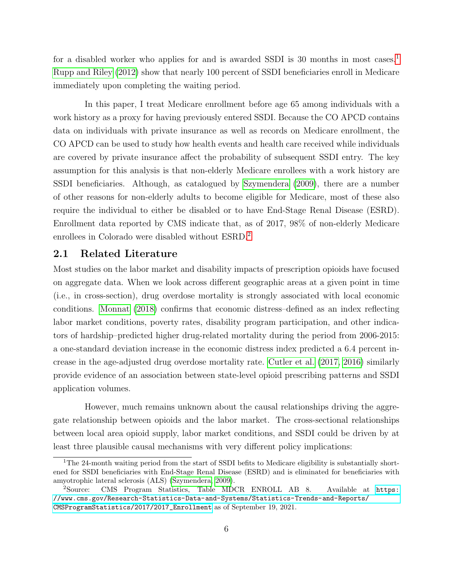for a disabled worker who applies for and is awarded SSDI is 30 months in most cases.<sup>[1](#page-5-0)</sup> [Rupp and Riley](#page-38-3) [\(2012\)](#page-38-3) show that nearly 100 percent of SSDI beneficiaries enroll in Medicare immediately upon completing the waiting period.

In this paper, I treat Medicare enrollment before age 65 among individuals with a work history as a proxy for having previously entered SSDI. Because the CO APCD contains data on individuals with private insurance as well as records on Medicare enrollment, the CO APCD can be used to study how health events and health care received while individuals are covered by private insurance affect the probability of subsequent SSDI entry. The key assumption for this analysis is that non-elderly Medicare enrollees with a work history are SSDI beneficiaries. Although, as catalogued by [Szymendera](#page-38-2) [\(2009\)](#page-38-2), there are a number of other reasons for non-elderly adults to become eligible for Medicare, most of these also require the individual to either be disabled or to have End-Stage Renal Disease (ESRD). Enrollment data reported by CMS indicate that, as of 2017, 98% of non-elderly Medicare enrollees in Colorado were disabled without ESRD.[2](#page-5-1)

#### 2.1 Related Literature

Most studies on the labor market and disability impacts of prescription opioids have focused on aggregate data. When we look across different geographic areas at a given point in time (i.e., in cross-section), drug overdose mortality is strongly associated with local economic conditions. [Monnat](#page-38-4) [\(2018\)](#page-38-4) confirms that economic distress–defined as an index reflecting labor market conditions, poverty rates, disability program participation, and other indicators of hardship–predicted higher drug-related mortality during the period from 2006-2015: a one-standard deviation increase in the economic distress index predicted a 6.4 percent increase in the age-adjusted drug overdose mortality rate. [Cutler et al.](#page-37-2) [\(2017,](#page-37-2) [2016\)](#page-37-3) similarly provide evidence of an association between state-level opioid prescribing patterns and SSDI application volumes.

However, much remains unknown about the causal relationships driving the aggregate relationship between opioids and the labor market. The cross-sectional relationships between local area opioid supply, labor market conditions, and SSDI could be driven by at least three plausible causal mechanisms with very different policy implications:

<span id="page-5-0"></span><sup>&</sup>lt;sup>1</sup>The 24-month waiting period from the start of SSDI befits to Medicare eligibility is substantially shortened for SSDI beneficiaries with End-Stage Renal Disease (ESRD) and is eliminated for beneficiaries with amyotrophic lateral sclerosis (ALS) [\(Szymendera, 2009\)](#page-38-2).

<span id="page-5-1"></span><sup>&</sup>lt;sup>2</sup>Source: CMS Program Statistics, Table MDCR ENROLL AB 8. Available at [https:](https://www.cms.gov/Research-Statistics-Data-and-Systems/Statistics-Trends-and-Reports/CMSProgramStatistics/2017/2017_Enrollment) [//www.cms.gov/Research-Statistics-Data-and-Systems/Statistics-Trends-and-Reports/](https://www.cms.gov/Research-Statistics-Data-and-Systems/Statistics-Trends-and-Reports/CMSProgramStatistics/2017/2017_Enrollment) [CMSProgramStatistics/2017/2017\\_Enrollment](https://www.cms.gov/Research-Statistics-Data-and-Systems/Statistics-Trends-and-Reports/CMSProgramStatistics/2017/2017_Enrollment) as of September 19, 2021.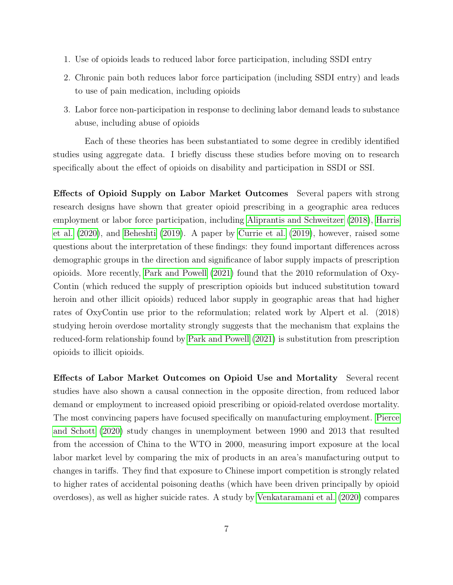- 1. Use of opioids leads to reduced labor force participation, including SSDI entry
- 2. Chronic pain both reduces labor force participation (including SSDI entry) and leads to use of pain medication, including opioids
- 3. Labor force non-participation in response to declining labor demand leads to substance abuse, including abuse of opioids

Each of these theories has been substantiated to some degree in credibly identified studies using aggregate data. I briefly discuss these studies before moving on to research specifically about the effect of opioids on disability and participation in SSDI or SSI.

Effects of Opioid Supply on Labor Market Outcomes Several papers with strong research designs have shown that greater opioid prescribing in a geographic area reduces employment or labor force participation, including [Aliprantis and Schweitzer](#page-37-4) [\(2018\)](#page-37-4), [Harris](#page-37-5) [et al.](#page-37-5) [\(2020\)](#page-37-5), and [Beheshti](#page-37-6) [\(2019\)](#page-37-6). A paper by [Currie et al.](#page-37-7) [\(2019\)](#page-37-7), however, raised some questions about the interpretation of these findings: they found important differences across demographic groups in the direction and significance of labor supply impacts of prescription opioids. More recently, [Park and Powell](#page-38-5) [\(2021\)](#page-38-5) found that the 2010 reformulation of Oxy-Contin (which reduced the supply of prescription opioids but induced substitution toward heroin and other illicit opioids) reduced labor supply in geographic areas that had higher rates of OxyContin use prior to the reformulation; related work by Alpert et al. (2018) studying heroin overdose mortality strongly suggests that the mechanism that explains the reduced-form relationship found by [Park and Powell](#page-38-5) [\(2021\)](#page-38-5) is substitution from prescription opioids to illicit opioids.

Effects of Labor Market Outcomes on Opioid Use and Mortality Several recent studies have also shown a causal connection in the opposite direction, from reduced labor demand or employment to increased opioid prescribing or opioid-related overdose mortality. The most convincing papers have focused specifically on manufacturing employment. [Pierce](#page-38-6) [and Schott](#page-38-6) [\(2020\)](#page-38-6) study changes in unemployment between 1990 and 2013 that resulted from the accession of China to the WTO in 2000, measuring import exposure at the local labor market level by comparing the mix of products in an area's manufacturing output to changes in tariffs. They find that exposure to Chinese import competition is strongly related to higher rates of accidental poisoning deaths (which have been driven principally by opioid overdoses), as well as higher suicide rates. A study by [Venkataramani et al.](#page-38-7) [\(2020\)](#page-38-7) compares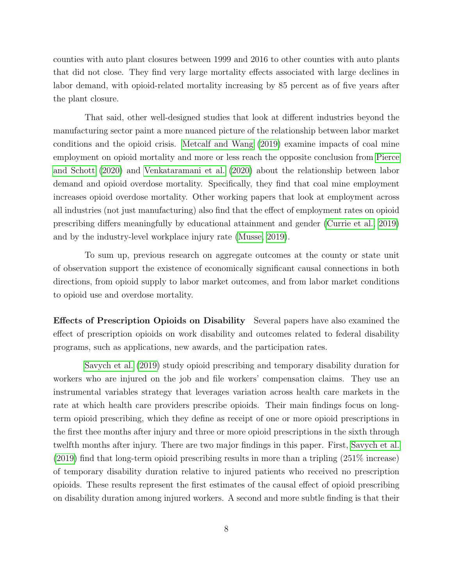counties with auto plant closures between 1999 and 2016 to other counties with auto plants that did not close. They find very large mortality effects associated with large declines in labor demand, with opioid-related mortality increasing by 85 percent as of five years after the plant closure.

That said, other well-designed studies that look at different industries beyond the manufacturing sector paint a more nuanced picture of the relationship between labor market conditions and the opioid crisis. [Metcalf and Wang](#page-38-8) [\(2019\)](#page-38-8) examine impacts of coal mine employment on opioid mortality and more or less reach the opposite conclusion from [Pierce](#page-38-6) [and Schott](#page-38-6) [\(2020\)](#page-38-6) and [Venkataramani et al.](#page-38-7) [\(2020\)](#page-38-7) about the relationship between labor demand and opioid overdose mortality. Specifically, they find that coal mine employment increases opioid overdose mortality. Other working papers that look at employment across all industries (not just manufacturing) also find that the effect of employment rates on opioid prescribing differs meaningfully by educational attainment and gender [\(Currie et al., 2019\)](#page-37-7) and by the industry-level workplace injury rate [\(Musse, 2019\)](#page-38-9).

To sum up, previous research on aggregate outcomes at the county or state unit of observation support the existence of economically significant causal connections in both directions, from opioid supply to labor market outcomes, and from labor market conditions to opioid use and overdose mortality.

Effects of Prescription Opioids on Disability Several papers have also examined the effect of prescription opioids on work disability and outcomes related to federal disability programs, such as applications, new awards, and the participation rates.

[Savych et al.](#page-38-10) [\(2019\)](#page-38-10) study opioid prescribing and temporary disability duration for workers who are injured on the job and file workers' compensation claims. They use an instrumental variables strategy that leverages variation across health care markets in the rate at which health care providers prescribe opioids. Their main findings focus on longterm opioid prescribing, which they define as receipt of one or more opioid prescriptions in the first thee months after injury and three or more opioid prescriptions in the sixth through twelfth months after injury. There are two major findings in this paper. First, [Savych et al.](#page-38-10) [\(2019\)](#page-38-10) find that long-term opioid prescribing results in more than a tripling (251% increase) of temporary disability duration relative to injured patients who received no prescription opioids. These results represent the first estimates of the causal effect of opioid prescribing on disability duration among injured workers. A second and more subtle finding is that their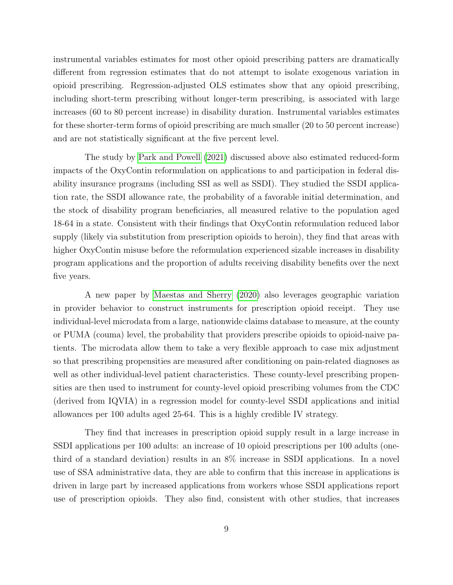instrumental variables estimates for most other opioid prescribing patters are dramatically different from regression estimates that do not attempt to isolate exogenous variation in opioid prescribing. Regression-adjusted OLS estimates show that any opioid prescribing, including short-term prescribing without longer-term prescribing, is associated with large increases (60 to 80 percent increase) in disability duration. Instrumental variables estimates for these shorter-term forms of opioid prescribing are much smaller (20 to 50 percent increase) and are not statistically significant at the five percent level.

The study by [Park and Powell](#page-38-5) [\(2021\)](#page-38-5) discussed above also estimated reduced-form impacts of the OxyContin reformulation on applications to and participation in federal disability insurance programs (including SSI as well as SSDI). They studied the SSDI application rate, the SSDI allowance rate, the probability of a favorable initial determination, and the stock of disability program beneficiaries, all measured relative to the population aged 18-64 in a state. Consistent with their findings that OxyContin reformulation reduced labor supply (likely via substitution from prescription opioids to heroin), they find that areas with higher OxyContin misuse before the reformulation experienced sizable increases in disability program applications and the proportion of adults receiving disability benefits over the next five years.

A new paper by [Maestas and Sherry](#page-37-8) [\(2020\)](#page-37-8) also leverages geographic variation in provider behavior to construct instruments for prescription opioid receipt. They use individual-level microdata from a large, nationwide claims database to measure, at the county or PUMA (couma) level, the probability that providers prescribe opioids to opioid-naive patients. The microdata allow them to take a very flexible approach to case mix adjustment so that prescribing propensities are measured after conditioning on pain-related diagnoses as well as other individual-level patient characteristics. These county-level prescribing propensities are then used to instrument for county-level opioid prescribing volumes from the CDC (derived from IQVIA) in a regression model for county-level SSDI applications and initial allowances per 100 adults aged 25-64. This is a highly credible IV strategy.

They find that increases in prescription opioid supply result in a large increase in SSDI applications per 100 adults: an increase of 10 opioid prescriptions per 100 adults (onethird of a standard deviation) results in an 8% increase in SSDI applications. In a novel use of SSA administrative data, they are able to confirm that this increase in applications is driven in large part by increased applications from workers whose SSDI applications report use of prescription opioids. They also find, consistent with other studies, that increases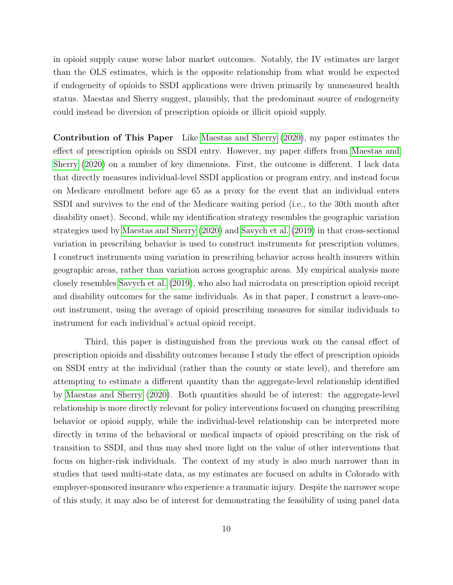in opioid supply cause worse labor market outcomes. Notably, the IV estimates are larger than the OLS estimates, which is the opposite relationship from what would be expected if endogeneity of opioids to SSDI applications were driven primarily by unmeasured health status. Maestas and Sherry suggest, plausibly, that the predominant source of endogeneity could instead be diversion of prescription opioids or illicit opioid supply.

Contribution of This Paper Like [Maestas and Sherry](#page-37-8) [\(2020\)](#page-37-8), my paper estimates the effect of prescription opioids on SSDI entry. However, my paper differs from [Maestas and](#page-37-8) [Sherry](#page-37-8) [\(2020\)](#page-37-8) on a number of key dimensions. First, the outcome is different. I lack data that directly measures individual-level SSDI application or program entry, and instead focus on Medicare enrollment before age 65 as a proxy for the event that an individual enters SSDI and survives to the end of the Medicare waiting period (i.e., to the 30th month after disability onset). Second, while my identification strategy resembles the geographic variation strategies used by [Maestas and Sherry](#page-37-8) [\(2020\)](#page-37-8) and [Savych et al.](#page-38-10) [\(2019\)](#page-38-10) in that cross-sectional variation in prescribing behavior is used to construct instruments for prescription volumes, I construct instruments using variation in prescribing behavior across health insurers within geographic areas, rather than variation across geographic areas. My empirical analysis more closely resembles [Savych et al.](#page-38-10) [\(2019\)](#page-38-10), who also had microdata on prescription opioid receipt and disability outcomes for the same individuals. As in that paper, I construct a leave-oneout instrument, using the average of opioid prescribing measures for similar individuals to instrument for each individual's actual opioid receipt.

Third, this paper is distinguished from the previous work on the causal effect of prescription opioids and disability outcomes because I study the effect of prescription opioids on SSDI entry at the individual (rather than the county or state level), and therefore am attempting to estimate a different quantity than the aggregate-level relationship identified by [Maestas and Sherry](#page-37-8) [\(2020\)](#page-37-8). Both quantities should be of interest: the aggregate-level relationship is more directly relevant for policy interventions focused on changing prescribing behavior or opioid supply, while the individual-level relationship can be interpreted more directly in terms of the behavioral or medical impacts of opioid prescribing on the risk of transition to SSDI, and thus may shed more light on the value of other interventions that focus on higher-risk individuals. The context of my study is also much narrower than in studies that used multi-state data, as my estimates are focused on adults in Colorado with employer-sponsored insurance who experience a traumatic injury. Despite the narrower scope of this study, it may also be of interest for demonstrating the feasibility of using panel data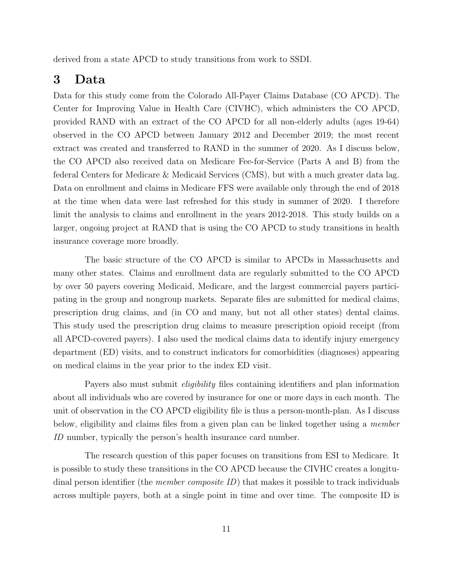<span id="page-10-0"></span>derived from a state APCD to study transitions from work to SSDI.

### 3 Data

Data for this study come from the Colorado All-Payer Claims Database (CO APCD). The Center for Improving Value in Health Care (CIVHC), which administers the CO APCD, provided RAND with an extract of the CO APCD for all non-elderly adults (ages 19-64) observed in the CO APCD between January 2012 and December 2019; the most recent extract was created and transferred to RAND in the summer of 2020. As I discuss below, the CO APCD also received data on Medicare Fee-for-Service (Parts A and B) from the federal Centers for Medicare & Medicaid Services (CMS), but with a much greater data lag. Data on enrollment and claims in Medicare FFS were available only through the end of 2018 at the time when data were last refreshed for this study in summer of 2020. I therefore limit the analysis to claims and enrollment in the years 2012-2018. This study builds on a larger, ongoing project at RAND that is using the CO APCD to study transitions in health insurance coverage more broadly.

The basic structure of the CO APCD is similar to APCDs in Massachusetts and many other states. Claims and enrollment data are regularly submitted to the CO APCD by over 50 payers covering Medicaid, Medicare, and the largest commercial payers participating in the group and nongroup markets. Separate files are submitted for medical claims, prescription drug claims, and (in CO and many, but not all other states) dental claims. This study used the prescription drug claims to measure prescription opioid receipt (from all APCD-covered payers). I also used the medical claims data to identify injury emergency department (ED) visits, and to construct indicators for comorbidities (diagnoses) appearing on medical claims in the year prior to the index ED visit.

Payers also must submit *eligibility* files containing identifiers and plan information about all individuals who are covered by insurance for one or more days in each month. The unit of observation in the CO APCD eligibility file is thus a person-month-plan. As I discuss below, eligibility and claims files from a given plan can be linked together using a member ID number, typically the person's health insurance card number.

The research question of this paper focuses on transitions from ESI to Medicare. It is possible to study these transitions in the CO APCD because the CIVHC creates a longitudinal person identifier (the *member composite ID*) that makes it possible to track individuals across multiple payers, both at a single point in time and over time. The composite ID is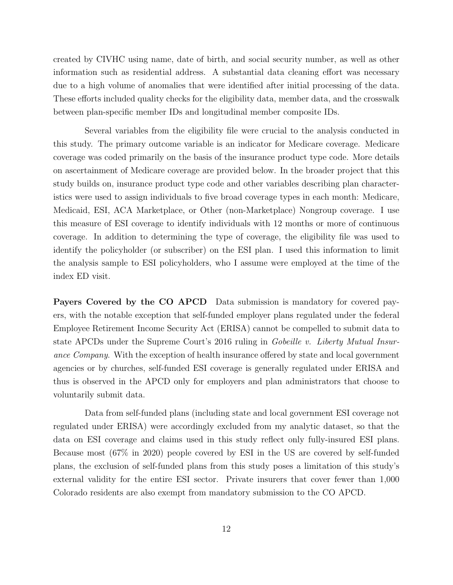created by CIVHC using name, date of birth, and social security number, as well as other information such as residential address. A substantial data cleaning effort was necessary due to a high volume of anomalies that were identified after initial processing of the data. These efforts included quality checks for the eligibility data, member data, and the crosswalk between plan-specific member IDs and longitudinal member composite IDs.

Several variables from the eligibility file were crucial to the analysis conducted in this study. The primary outcome variable is an indicator for Medicare coverage. Medicare coverage was coded primarily on the basis of the insurance product type code. More details on ascertainment of Medicare coverage are provided below. In the broader project that this study builds on, insurance product type code and other variables describing plan characteristics were used to assign individuals to five broad coverage types in each month: Medicare, Medicaid, ESI, ACA Marketplace, or Other (non-Marketplace) Nongroup coverage. I use this measure of ESI coverage to identify individuals with 12 months or more of continuous coverage. In addition to determining the type of coverage, the eligibility file was used to identify the policyholder (or subscriber) on the ESI plan. I used this information to limit the analysis sample to ESI policyholders, who I assume were employed at the time of the index ED visit.

Payers Covered by the CO APCD Data submission is mandatory for covered payers, with the notable exception that self-funded employer plans regulated under the federal Employee Retirement Income Security Act (ERISA) cannot be compelled to submit data to state APCDs under the Supreme Court's 2016 ruling in Gobeille v. Liberty Mutual Insurance Company. With the exception of health insurance offered by state and local government agencies or by churches, self-funded ESI coverage is generally regulated under ERISA and thus is observed in the APCD only for employers and plan administrators that choose to voluntarily submit data.

Data from self-funded plans (including state and local government ESI coverage not regulated under ERISA) were accordingly excluded from my analytic dataset, so that the data on ESI coverage and claims used in this study reflect only fully-insured ESI plans. Because most (67% in 2020) people covered by ESI in the US are covered by self-funded plans, the exclusion of self-funded plans from this study poses a limitation of this study's external validity for the entire ESI sector. Private insurers that cover fewer than 1,000 Colorado residents are also exempt from mandatory submission to the CO APCD.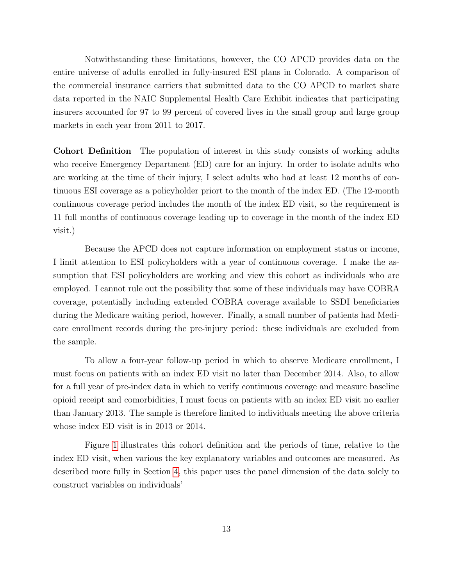Notwithstanding these limitations, however, the CO APCD provides data on the entire universe of adults enrolled in fully-insured ESI plans in Colorado. A comparison of the commercial insurance carriers that submitted data to the CO APCD to market share data reported in the NAIC Supplemental Health Care Exhibit indicates that participating insurers accounted for 97 to 99 percent of covered lives in the small group and large group markets in each year from 2011 to 2017.

Cohort Definition The population of interest in this study consists of working adults who receive Emergency Department (ED) care for an injury. In order to isolate adults who are working at the time of their injury, I select adults who had at least 12 months of continuous ESI coverage as a policyholder priort to the month of the index ED. (The 12-month continuous coverage period includes the month of the index ED visit, so the requirement is 11 full months of continuous coverage leading up to coverage in the month of the index ED visit.)

Because the APCD does not capture information on employment status or income, I limit attention to ESI policyholders with a year of continuous coverage. I make the assumption that ESI policyholders are working and view this cohort as individuals who are employed. I cannot rule out the possibility that some of these individuals may have COBRA coverage, potentially including extended COBRA coverage available to SSDI beneficiaries during the Medicare waiting period, however. Finally, a small number of patients had Medicare enrollment records during the pre-injury period: these individuals are excluded from the sample.

To allow a four-year follow-up period in which to observe Medicare enrollment, I must focus on patients with an index ED visit no later than December 2014. Also, to allow for a full year of pre-index data in which to verify continuous coverage and measure baseline opioid receipt and comorbidities, I must focus on patients with an index ED visit no earlier than January 2013. The sample is therefore limited to individuals meeting the above criteria whose index ED visit is in 2013 or 2014.

Figure [1](#page-13-0) illustrates this cohort definition and the periods of time, relative to the index ED visit, when various the key explanatory variables and outcomes are measured. As described more fully in Section [4,](#page-23-0) this paper uses the panel dimension of the data solely to construct variables on individuals'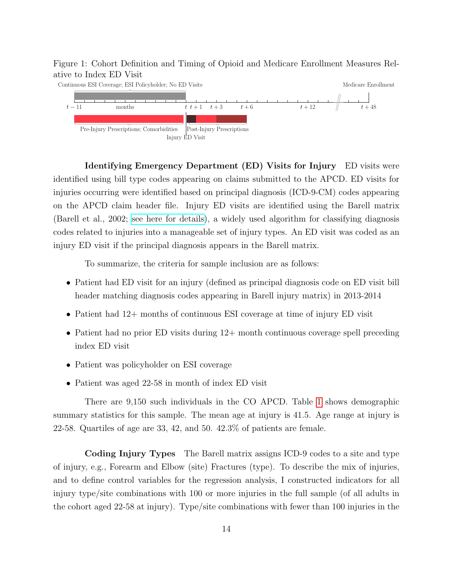#### <span id="page-13-0"></span>Figure 1: Cohort Definition and Timing of Opioid and Medicare Enrollment Measures Relative to Index ED Visit



Identifying Emergency Department (ED) Visits for Injury ED visits were identified using bill type codes appearing on claims submitted to the APCD. ED visits for injuries occurring were identified based on principal diagnosis (ICD-9-CM) codes appearing on the APCD claim header file. Injury ED visits are identified using the Barell matrix (Barell et al., 2002; [see here for details\)](https://www.cdc.gov/nchs injury/ice/barell_matrix.htm), a widely used algorithm for classifying diagnosis codes related to injuries into a manageable set of injury types. An ED visit was coded as an injury ED visit if the principal diagnosis appears in the Barell matrix.

To summarize, the criteria for sample inclusion are as follows:

- Patient had ED visit for an injury (defined as principal diagnosis code on ED visit bill header matching diagnosis codes appearing in Barell injury matrix) in 2013-2014
- Patient had 12+ months of continuous ESI coverage at time of injury ED visit
- Patient had no prior ED visits during  $12+$  month continuous coverage spell preceding index ED visit
- Patient was policyholder on ESI coverage
- Patient was aged 22-58 in month of index ED visit

There are 9,150 such individuals in the CO APCD. Table [1](#page-14-0) shows demographic summary statistics for this sample. The mean age at injury is 41.5. Age range at injury is 22-58. Quartiles of age are 33, 42, and 50. 42.3% of patients are female.

Coding Injury Types The Barell matrix assigns ICD-9 codes to a site and type of injury, e.g., Forearm and Elbow (site) Fractures (type). To describe the mix of injuries, and to define control variables for the regression analysis, I constructed indicators for all injury type/site combinations with 100 or more injuries in the full sample (of all adults in the cohort aged 22-58 at injury). Type/site combinations with fewer than 100 injuries in the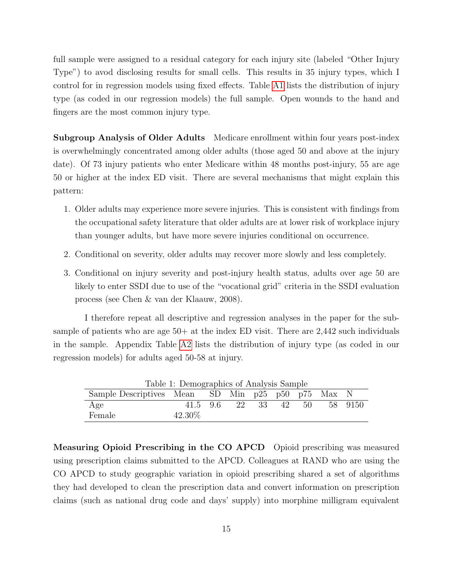full sample were assigned to a residual category for each injury site (labeled "Other Injury Type") to avod disclosing results for small cells. This results in 35 injury types, which I control for in regression models using fixed effects. Table [A1](#page-14-0) lists the distribution of injury type (as coded in our regression models) the full sample. Open wounds to the hand and fingers are the most common injury type.

Subgroup Analysis of Older Adults Medicare enrollment within four years post-index is overwhelmingly concentrated among older adults (those aged 50 and above at the injury date). Of 73 injury patients who enter Medicare within 48 months post-injury, 55 are age 50 or higher at the index ED visit. There are several mechanisms that might explain this pattern:

- 1. Older adults may experience more severe injuries. This is consistent with findings from the occupational safety literature that older adults are at lower risk of workplace injury than younger adults, but have more severe injuries conditional on occurrence.
- 2. Conditional on severity, older adults may recover more slowly and less completely.
- 3. Conditional on injury severity and post-injury health status, adults over age 50 are likely to enter SSDI due to use of the "vocational grid" criteria in the SSDI evaluation process (see Chen & van der Klaauw, 2008).

I therefore repeat all descriptive and regression analyses in the paper for the subsample of patients who are age  $50+$  at the index ED visit. There are  $2,442$  such individuals in the sample. Appendix Table [A2](#page-15-0) lists the distribution of injury type (as coded in our regression models) for adults aged 50-58 at injury.

<span id="page-14-0"></span>

|                                                   | Table 1: Demographics of Analysis Sample |  |       |    |      |         |
|---------------------------------------------------|------------------------------------------|--|-------|----|------|---------|
| Sample Descriptives Mean SD Min p25 p50 p75 Max N |                                          |  |       |    |      |         |
| Age                                               | 41.5 9.6                                 |  | 22 33 | 42 | 50 - | 58 9150 |
| Female                                            | 42.30\%                                  |  |       |    |      |         |

Measuring Opioid Prescribing in the CO APCD Opioid prescribing was measured using prescription claims submitted to the APCD. Colleagues at RAND who are using the CO APCD to study geographic variation in opioid prescribing shared a set of algorithms they had developed to clean the prescription data and convert information on prescription claims (such as national drug code and days' supply) into morphine milligram equivalent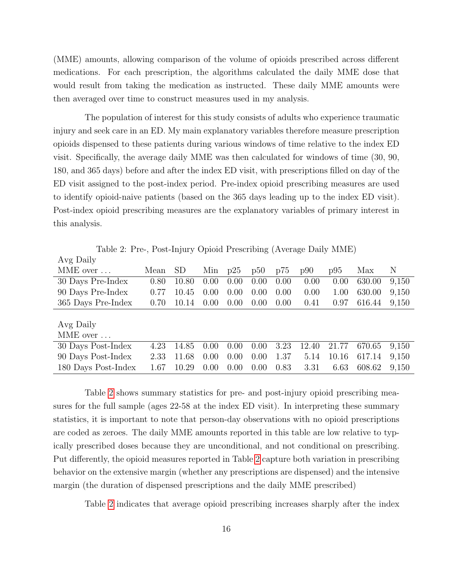(MME) amounts, allowing comparison of the volume of opioids prescribed across different medications. For each prescription, the algorithms calculated the daily MME dose that would result from taking the medication as instructed. These daily MME amounts were then averaged over time to construct measures used in my analysis.

The population of interest for this study consists of adults who experience traumatic injury and seek care in an ED. My main explanatory variables therefore measure prescription opioids dispensed to these patients during various windows of time relative to the index ED visit. Specifically, the average daily MME was then calculated for windows of time (30, 90, 180, and 365 days) before and after the index ED visit, with prescriptions filled on day of the ED visit assigned to the post-index period. Pre-index opioid prescribing measures are used to identify opioid-naive patients (based on the 365 days leading up to the index ED visit). Post-index opioid prescribing measures are the explanatory variables of primary interest in this analysis.

Avg Daily MME over ... Mean SD Min p25 p50 p75 p90 p95 Max N 30 Days Pre-Index 0.80 10.80 0.00 0.00 0.00 0.00 0.00 0.00 630.00 9,150 90 Days Pre-Index 0.77 10.45 0.00 0.00 0.00 0.00 0.00 1.00 630.00 9,150 365 Days Pre-Index 0.70 10.14 0.00 0.00 0.00 0.00 0.41 0.97 616.44 9,150 Avg Daily MME over ... 30 Days Post-Index 4.23 14.85 0.00 0.00 0.00 3.23 12.40 21.77 670.65 9,150 90 Days Post-Index 2.33 11.68 0.00 0.00 0.00 1.37 5.14 10.16 617.14 9,150 180 Days Post-Index 1.67 10.29 0.00 0.00 0.00 0.83 3.31 6.63 608.62 9,150

<span id="page-15-0"></span>Table 2: Pre-, Post-Injury Opioid Prescribing (Average Daily MME)

Table [2](#page-15-0) shows summary statistics for pre- and post-injury opioid prescribing measures for the full sample (ages 22-58 at the index ED visit). In interpreting these summary statistics, it is important to note that person-day observations with no opioid prescriptions are coded as zeroes. The daily MME amounts reported in this table are low relative to typically prescribed doses because they are unconditional, and not conditional on prescribing. Put differently, the opioid measures reported in Table [2](#page-15-0) capture both variation in prescribing behavior on the extensive margin (whether any prescriptions are dispensed) and the intensive margin (the duration of dispensed prescriptions and the daily MME prescribed)

Table [2](#page-15-0) indicates that average opioid prescribing increases sharply after the index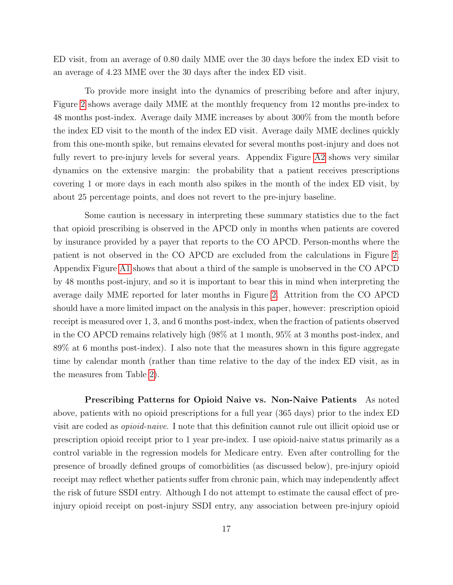ED visit, from an average of 0.80 daily MME over the 30 days before the index ED visit to an average of 4.23 MME over the 30 days after the index ED visit.

To provide more insight into the dynamics of prescribing before and after injury, Figure [2](#page-17-0) shows average daily MME at the monthly frequency from 12 months pre-index to 48 months post-index. Average daily MME increases by about 300% from the month before the index ED visit to the month of the index ED visit. Average daily MME declines quickly from this one-month spike, but remains elevated for several months post-injury and does not fully revert to pre-injury levels for several years. Appendix Figure [A2](#page-17-0) shows very similar dynamics on the extensive margin: the probability that a patient receives prescriptions covering 1 or more days in each month also spikes in the month of the index ED visit, by about 25 percentage points, and does not revert to the pre-injury baseline.

Some caution is necessary in interpreting these summary statistics due to the fact that opioid prescribing is observed in the APCD only in months when patients are covered by insurance provided by a payer that reports to the CO APCD. Person-months where the patient is not observed in the CO APCD are excluded from the calculations in Figure [2.](#page-17-0) Appendix Figure [A1](#page-13-0) shows that about a third of the sample is unobserved in the CO APCD by 48 months post-injury, and so it is important to bear this in mind when interpreting the average daily MME reported for later months in Figure [2.](#page-17-0) Attrition from the CO APCD should have a more limited impact on the analysis in this paper, however: prescription opioid receipt is measured over 1, 3, and 6 months post-index, when the fraction of patients observed in the CO APCD remains relatively high (98% at 1 month, 95% at 3 months post-index, and 89% at 6 months post-index). I also note that the measures shown in this figure aggregate time by calendar month (rather than time relative to the day of the index ED visit, as in the measures from Table [2\)](#page-15-0).

Prescribing Patterns for Opioid Naive vs. Non-Naive Patients As noted above, patients with no opioid prescriptions for a full year (365 days) prior to the index ED visit are coded as opioid-naive. I note that this definition cannot rule out illicit opioid use or prescription opioid receipt prior to 1 year pre-index. I use opioid-naive status primarily as a control variable in the regression models for Medicare entry. Even after controlling for the presence of broadly defined groups of comorbidities (as discussed below), pre-injury opioid receipt may reflect whether patients suffer from chronic pain, which may independently affect the risk of future SSDI entry. Although I do not attempt to estimate the causal effect of preinjury opioid receipt on post-injury SSDI entry, any association between pre-injury opioid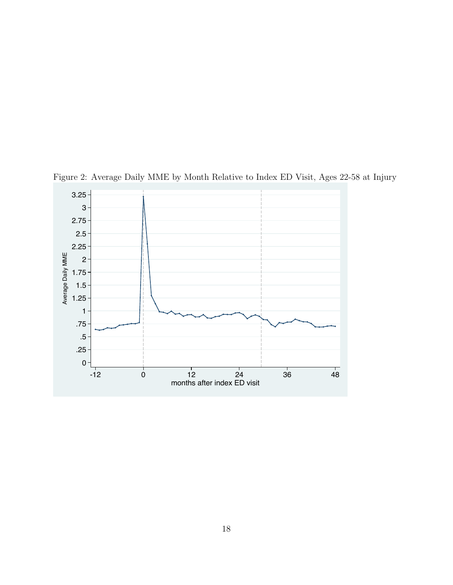

<span id="page-17-0"></span>Figure 2: Average Daily MME by Month Relative to Index ED Visit, Ages 22-58 at Injury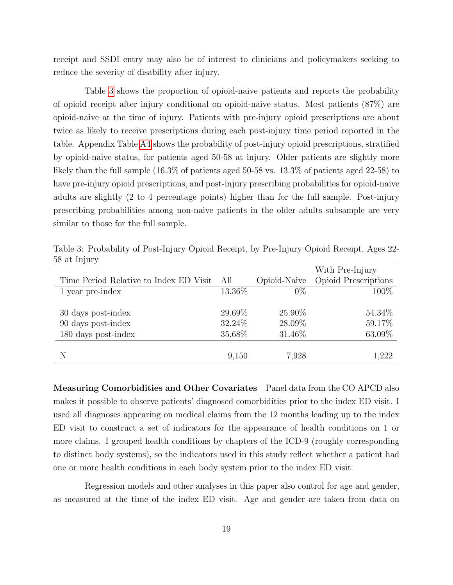receipt and SSDI entry may also be of interest to clinicians and policymakers seeking to reduce the severity of disability after injury.

Table [3](#page-18-0) shows the proportion of opioid-naive patients and reports the probability of opioid receipt after injury conditional on opioid-naive status. Most patients (87%) are opioid-naive at the time of injury. Patients with pre-injury opioid prescriptions are about twice as likely to receive prescriptions during each post-injury time period reported in the table. Appendix Table [A4](#page-20-0) shows the probability of post-injury opioid prescriptions, stratified by opioid-naive status, for patients aged 50-58 at injury. Older patients are slightly more likely than the full sample (16.3% of patients aged 50-58 vs. 13.3% of patients aged 22-58) to have pre-injury opioid prescriptions, and post-injury prescribing probabilities for opioid-naive adults are slightly (2 to 4 percentage points) higher than for the full sample. Post-injury prescribing probabilities among non-naive patients in the older adults subsample are very similar to those for the full sample.

|                                        |         |              | With Pre-Injury             |
|----------------------------------------|---------|--------------|-----------------------------|
| Time Period Relative to Index ED Visit | All     | Opioid-Naive | <b>Opioid Prescriptions</b> |
| 1 year pre-index                       | 13.36%  | $0\%$        | 100\%                       |
| 30 days post-index                     | 29.69%  | 25.90%       | 54.34\%                     |
| 90 days post-index                     | 32.24\% | 28.09%       | 59.17%                      |
| 180 days post-index                    | 35.68%  | 31.46%       | 63.09%                      |
| N                                      | 9,150   | 7,928        | 1,222                       |

<span id="page-18-0"></span>Table 3: Probability of Post-Injury Opioid Receipt, by Pre-Injury Opioid Receipt, Ages 22- 58 at Injury

Measuring Comorbidities and Other Covariates Panel data from the CO APCD also makes it possible to observe patients' diagnosed comorbidities prior to the index ED visit. I used all diagnoses appearing on medical claims from the 12 months leading up to the index ED visit to construct a set of indicators for the appearance of health conditions on 1 or more claims. I grouped health conditions by chapters of the ICD-9 (roughly corresponding to distinct body systems), so the indicators used in this study reflect whether a patient had one or more health conditions in each body system prior to the index ED visit.

Regression models and other analyses in this paper also control for age and gender, as measured at the time of the index ED visit. Age and gender are taken from data on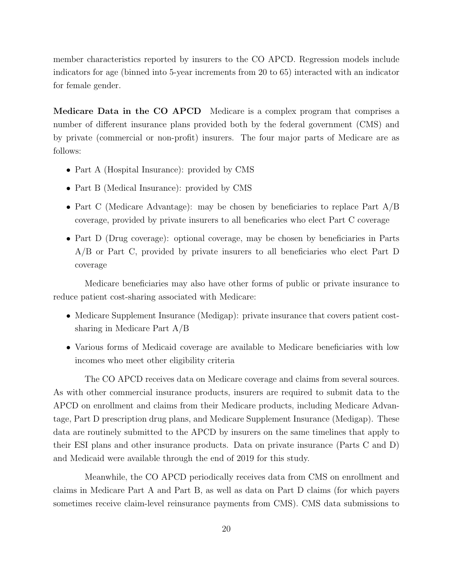member characteristics reported by insurers to the CO APCD. Regression models include indicators for age (binned into 5-year increments from 20 to 65) interacted with an indicator for female gender.

Medicare Data in the CO APCD Medicare is a complex program that comprises a number of different insurance plans provided both by the federal government (CMS) and by private (commercial or non-profit) insurers. The four major parts of Medicare are as follows:

- Part A (Hospital Insurance): provided by CMS
- Part B (Medical Insurance): provided by CMS
- Part C (Medicare Advantage): may be chosen by beneficiaries to replace Part A/B coverage, provided by private insurers to all beneficaries who elect Part C coverage
- Part D (Drug coverage): optional coverage, may be chosen by beneficiaries in Parts A/B or Part C, provided by private insurers to all beneficiaries who elect Part D coverage

Medicare beneficiaries may also have other forms of public or private insurance to reduce patient cost-sharing associated with Medicare:

- Medicare Supplement Insurance (Medigap): private insurance that covers patient costsharing in Medicare Part A/B
- Various forms of Medicaid coverage are available to Medicare beneficiaries with low incomes who meet other eligibility criteria

The CO APCD receives data on Medicare coverage and claims from several sources. As with other commercial insurance products, insurers are required to submit data to the APCD on enrollment and claims from their Medicare products, including Medicare Advantage, Part D prescription drug plans, and Medicare Supplement Insurance (Medigap). These data are routinely submitted to the APCD by insurers on the same timelines that apply to their ESI plans and other insurance products. Data on private insurance (Parts C and D) and Medicaid were available through the end of 2019 for this study.

Meanwhile, the CO APCD periodically receives data from CMS on enrollment and claims in Medicare Part A and Part B, as well as data on Part D claims (for which payers sometimes receive claim-level reinsurance payments from CMS). CMS data submissions to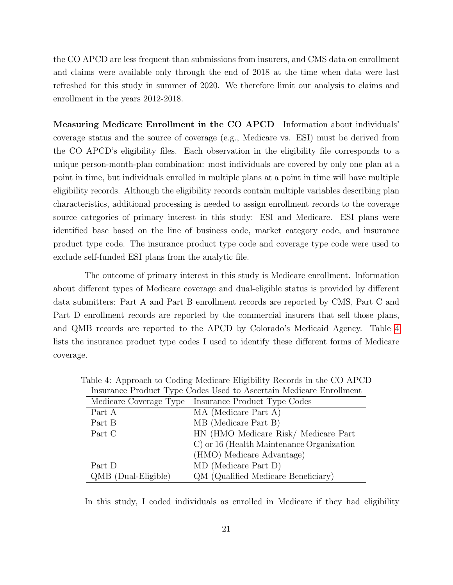the CO APCD are less frequent than submissions from insurers, and CMS data on enrollment and claims were available only through the end of 2018 at the time when data were last refreshed for this study in summer of 2020. We therefore limit our analysis to claims and enrollment in the years 2012-2018.

Measuring Medicare Enrollment in the CO APCD Information about individuals' coverage status and the source of coverage (e.g., Medicare vs. ESI) must be derived from the CO APCD's eligibility files. Each observation in the eligibility file corresponds to a unique person-month-plan combination: most individuals are covered by only one plan at a point in time, but individuals enrolled in multiple plans at a point in time will have multiple eligibility records. Although the eligibility records contain multiple variables describing plan characteristics, additional processing is needed to assign enrollment records to the coverage source categories of primary interest in this study: ESI and Medicare. ESI plans were identified base based on the line of business code, market category code, and insurance product type code. The insurance product type code and coverage type code were used to exclude self-funded ESI plans from the analytic file.

The outcome of primary interest in this study is Medicare enrollment. Information about different types of Medicare coverage and dual-eligible status is provided by different data submitters: Part A and Part B enrollment records are reported by CMS, Part C and Part D enrollment records are reported by the commercial insurers that sell those plans, and QMB records are reported to the APCD by Colorado's Medicaid Agency. Table [4](#page-20-0) lists the insurance product type codes I used to identify these different forms of Medicare coverage.

<span id="page-20-0"></span>

| moutance I roughly Type Couco Coca to Theetianii meandare Emroninem |
|---------------------------------------------------------------------|
| Medicare Coverage Type Insurance Product Type Codes                 |
| MA (Medicare Part A)                                                |
| MB (Medicare Part B)                                                |
| HN (HMO Medicare Risk/ Medicare Part                                |
| C) or 16 (Health Maintenance Organization                           |
| (HMO) Medicare Advantage)                                           |
| MD (Medicare Part D)                                                |
| QM (Qualified Medicare Beneficiary)                                 |
|                                                                     |

Table 4: Approach to Coding Medicare Eligibility Records in the CO APCD Insurance Product Type Codes Used to Ascertain Medicare Enrollment

In this study, I coded individuals as enrolled in Medicare if they had eligibility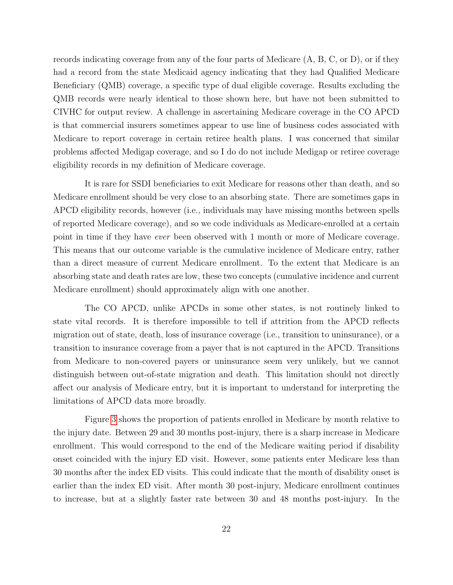records indicating coverage from any of the four parts of Medicare (A, B, C, or D), or if they had a record from the state Medicaid agency indicating that they had Qualified Medicare Beneficiary (QMB) coverage, a specific type of dual eligible coverage. Results excluding the QMB records were nearly identical to those shown here, but have not been submitted to CIVHC for output review. A challenge in ascertaining Medicare coverage in the CO APCD is that commercial insurers sometimes appear to use line of business codes associated with Medicare to report coverage in certain retiree health plans. I was concerned that similar problems affected Medigap coverage, and so I do do not include Medigap or retiree coverage eligibility records in my definition of Medicare coverage.

It is rare for SSDI beneficiaries to exit Medicare for reasons other than death, and so Medicare enrollment should be very close to an absorbing state. There are sometimes gaps in APCD eligibility records, however (i.e., individuals may have missing months between spells of reported Medicare coverage), and so we code individuals as Medicare-enrolled at a certain point in time if they have ever been observed with 1 month or more of Medicare coverage. This means that our outcome variable is the cumulative incidence of Medicare entry, rather than a direct measure of current Medicare enrollment. To the extent that Medicare is an absorbing state and death rates are low, these two concepts (cumulative incidence and current Medicare enrollment) should approximately align with one another.

The CO APCD, unlike APCDs in some other states, is not routinely linked to state vital records. It is therefore impossible to tell if attrition from the APCD reflects migration out of state, death, loss of insurance coverage (i.e., transition to uninsurance), or a transition to insurance coverage from a payer that is not captured in the APCD. Transitions from Medicare to non-covered payers or uninsurance seem very unlikely, but we cannot distinguish between out-of-state migration and death. This limitation should not directly affect our analysis of Medicare entry, but it is important to understand for interpreting the limitations of APCD data more broadly.

Figure [3](#page-22-0) shows the proportion of patients enrolled in Medicare by month relative to the injury date. Between 29 and 30 months post-injury, there is a sharp increase in Medicare enrollment. This would correspond to the end of the Medicare waiting period if disability onset coincided with the injury ED visit. However, some patients enter Medicare less than 30 months after the index ED visits. This could indicate that the month of disability onset is earlier than the index ED visit. After month 30 post-injury, Medicare enrollment continues to increase, but at a slightly faster rate between 30 and 48 months post-injury. In the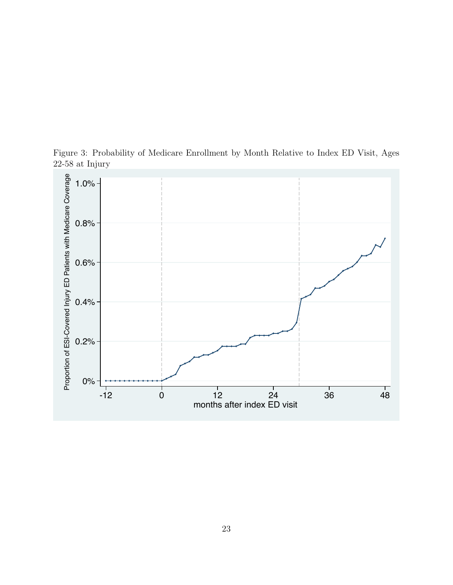

<span id="page-22-0"></span>Figure 3: Probability of Medicare Enrollment by Month Relative to Index ED Visit, Ages 22-58 at Injury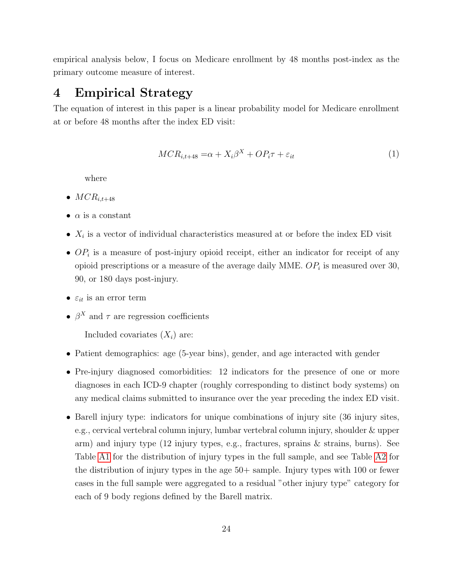empirical analysis below, I focus on Medicare enrollment by 48 months post-index as the primary outcome measure of interest.

### <span id="page-23-0"></span>4 Empirical Strategy

The equation of interest in this paper is a linear probability model for Medicare enrollment at or before 48 months after the index ED visit:

$$
MCR_{i,t+48} = \alpha + X_i\beta^X + OP_i\tau + \varepsilon_{it}
$$
\n<sup>(1)</sup>

where

- $MCR_{i.t.+48}$
- $\bullet$   $\alpha$  is a constant
- $X_i$  is a vector of individual characteristics measured at or before the index ED visit
- $OP<sub>i</sub>$  is a measure of post-injury opioid receipt, either an indicator for receipt of any opioid prescriptions or a measure of the average daily MME.  $OP_i$  is measured over 30, 90, or 180 days post-injury.
- $\varepsilon_{it}$  is an error term
- $\beta^X$  and  $\tau$  are regression coefficients

Included covariates  $(X_i)$  are:

- Patient demographics: age (5-year bins), gender, and age interacted with gender
- Pre-injury diagnosed comorbidities: 12 indicators for the presence of one or more diagnoses in each ICD-9 chapter (roughly corresponding to distinct body systems) on any medical claims submitted to insurance over the year preceding the index ED visit.
- Barell injury type: indicators for unique combinations of injury site (36 injury sites, e.g., cervical vertebral column injury, lumbar vertebral column injury, shoulder & upper arm) and injury type (12 injury types, e.g., fractures, sprains & strains, burns). See Table [A1](#page-14-0) for the distribution of injury types in the full sample, and see Table [A2](#page-15-0) for the distribution of injury types in the age 50+ sample. Injury types with 100 or fewer cases in the full sample were aggregated to a residual "other injury type" category for each of 9 body regions defined by the Barell matrix.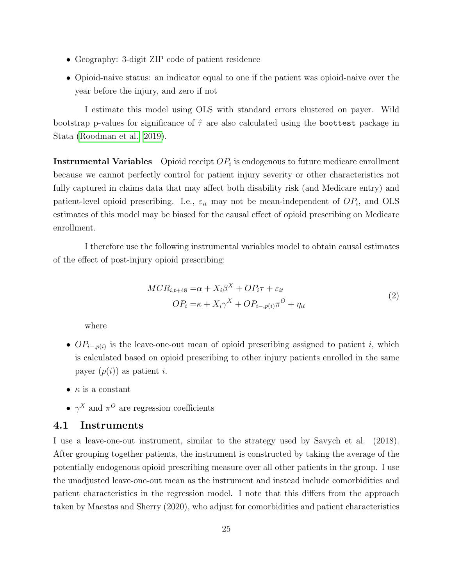- Geography: 3-digit ZIP code of patient residence
- Opioid-naive status: an indicator equal to one if the patient was opioid-naive over the year before the injury, and zero if not

I estimate this model using OLS with standard errors clustered on payer. Wild bootstrap p-values for significance of  $\hat{\tau}$  are also calculated using the boottest package in Stata [\(Roodman et al., 2019\)](#page-38-11).

**Instrumental Variables** Opioid receipt  $OP_i$  is endogenous to future medicare enrollment because we cannot perfectly control for patient injury severity or other characteristics not fully captured in claims data that may affect both disability risk (and Medicare entry) and patient-level opioid prescribing. I.e.,  $\varepsilon_{it}$  may not be mean-independent of  $OP_i$ , and OLS estimates of this model may be biased for the causal effect of opioid prescribing on Medicare enrollment.

I therefore use the following instrumental variables model to obtain causal estimates of the effect of post-injury opioid prescribing:

$$
MCR_{i,t+48} = \alpha + X_i \beta^X + OP_i \tau + \varepsilon_{it}
$$
  

$$
OP_i = \kappa + X_i \gamma^X + OP_{i-,p(i)} \pi^O + \eta_{it}
$$
 (2)

where

- $OP_{i-p(i)}$  is the leave-one-out mean of opioid prescribing assigned to patient i, which is calculated based on opioid prescribing to other injury patients enrolled in the same payer  $(p(i))$  as patient *i*.
- $\bullet$   $\kappa$  is a constant
- $\gamma^X$  and  $\pi^O$  are regression coefficients

#### 4.1 Instruments

I use a leave-one-out instrument, similar to the strategy used by Savych et al. (2018). After grouping together patients, the instrument is constructed by taking the average of the potentially endogenous opioid prescribing measure over all other patients in the group. I use the unadjusted leave-one-out mean as the instrument and instead include comorbidities and patient characteristics in the regression model. I note that this differs from the approach taken by Maestas and Sherry (2020), who adjust for comorbidities and patient characteristics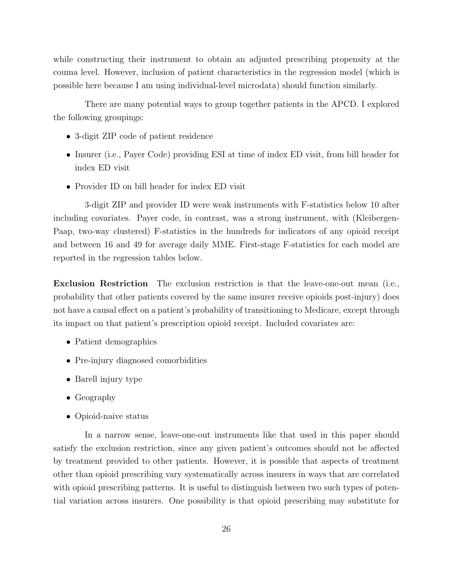while constructing their instrument to obtain an adjusted prescribing propensity at the couma level. However, inclusion of patient characteristics in the regression model (which is possible here because I am using individual-level microdata) should function similarly.

There are many potential ways to group together patients in the APCD. I explored the following groupings:

- 3-digit ZIP code of patient residence
- Insurer (i.e., Payer Code) providing ESI at time of index ED visit, from bill header for index ED visit
- Provider ID on bill header for index ED visit

3-digit ZIP and provider ID were weak instruments with F-statistics below 10 after including covariates. Payer code, in contrast, was a strong instrument, with (Kleibergen-Paap, two-way clustered) F-statistics in the hundreds for indicators of any opioid receipt and between 16 and 49 for average daily MME. First-stage F-statistics for each model are reported in the regression tables below.

Exclusion Restriction The exclusion restriction is that the leave-one-out mean (i.e., probability that other patients covered by the same insurer receive opioids post-injury) does not have a causal effect on a patient's probability of transitioning to Medicare, except through its impact on that patient's prescription opioid receipt. Included covariates are:

- Patient demographics
- Pre-injury diagnosed comorbidities
- Barell injury type
- Geography
- Opioid-naive status

In a narrow sense, leave-one-out instruments like that used in this paper should satisfy the exclusion restriction, since any given patient's outcomes should not be affected by treatment provided to other patients. However, it is possible that aspects of treatment other than opioid prescribing vary systematically across insurers in ways that are correlated with opioid prescribing patterns. It is useful to distinguish between two such types of potential variation across insurers. One possibility is that opioid prescribing may substitute for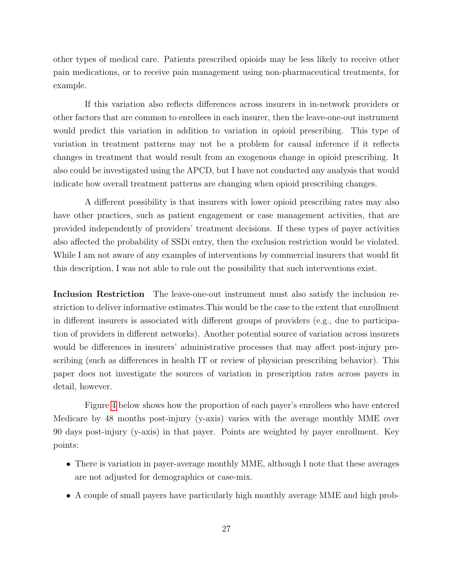other types of medical care. Patients prescribed opioids may be less likely to receive other pain medications, or to receive pain management using non-pharmaceutical treatments, for example.

If this variation also reflects differences across insurers in in-network providers or other factors that are common to enrollees in each insurer, then the leave-one-out instrument would predict this variation in addition to variation in opioid prescribing. This type of variation in treatment patterns may not be a problem for causal inference if it reflects changes in treatment that would result from an exogenous change in opioid prescribing. It also could be investigated using the APCD, but I have not conducted any analysis that would indicate how overall treatment patterns are changing when opioid prescribing changes.

A different possibility is that insurers with lower opioid prescribing rates may also have other practices, such as patient engagement or case management activities, that are provided independently of providers' treatment decisions. If these types of payer activities also affected the probability of SSDi entry, then the exclusion restriction would be violated. While I am not aware of any examples of interventions by commercial insurers that would fit this description, I was not able to rule out the possibility that such interventions exist.

Inclusion Restriction The leave-one-out instrument must also satisfy the inclusion restriction to deliver informative estimates.This would be the case to the extent that enrollment in different insurers is associated with different groups of providers (e.g., due to participation of providers in different networks). Another potential source of variation across insurers would be differences in insurers' administrative processes that may affect post-injury prescribing (such as differences in health IT or review of physician prescribing behavior). This paper does not investigate the sources of variation in prescription rates across payers in detail, however.

Figure [4](#page-27-1) below shows how the proportion of each payer's enrollees who have entered Medicare by 48 months post-injury (y-axis) varies with the average monthly MME over 90 days post-injury (y-axis) in that payer. Points are weighted by payer enrollment. Key points:

- There is variation in payer-average monthly MME, although I note that these averages are not adjusted for demographics or case-mix.
- A couple of small payers have particularly high monthly average MME and high prob-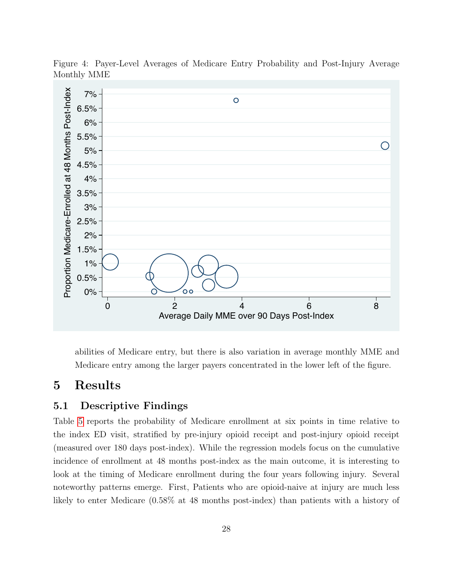

<span id="page-27-1"></span>Figure 4: Payer-Level Averages of Medicare Entry Probability and Post-Injury Average Monthly MME

abilities of Medicare entry, but there is also variation in average monthly MME and Medicare entry among the larger payers concentrated in the lower left of the figure.

# <span id="page-27-0"></span>5 Results

#### 5.1 Descriptive Findings

Table [5](#page-28-0) reports the probability of Medicare enrollment at six points in time relative to the index ED visit, stratified by pre-injury opioid receipt and post-injury opioid receipt (measured over 180 days post-index). While the regression models focus on the cumulative incidence of enrollment at 48 months post-index as the main outcome, it is interesting to look at the timing of Medicare enrollment during the four years following injury. Several noteworthy patterns emerge. First, Patients who are opioid-naive at injury are much less likely to enter Medicare (0.58% at 48 months post-index) than patients with a history of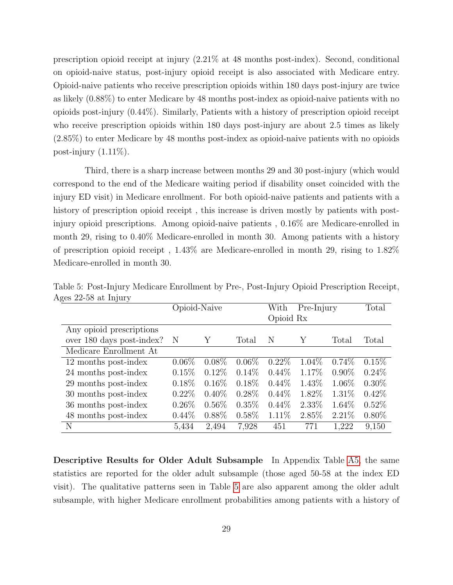prescription opioid receipt at injury (2.21% at 48 months post-index). Second, conditional on opioid-naive status, post-injury opioid receipt is also associated with Medicare entry. Opioid-naive patients who receive prescription opioids within 180 days post-injury are twice as likely (0.88%) to enter Medicare by 48 months post-index as opioid-naive patients with no opioids post-injury (0.44%). Similarly, Patients with a history of prescription opioid receipt who receive prescription opioids within 180 days post-injury are about 2.5 times as likely (2.85%) to enter Medicare by 48 months post-index as opioid-naive patients with no opioids post-injury  $(1.11\%)$ .

Third, there is a sharp increase between months 29 and 30 post-injury (which would correspond to the end of the Medicare waiting period if disability onset coincided with the injury ED visit) in Medicare enrollment. For both opioid-naive patients and patients with a history of prescription opioid receipt , this increase is driven mostly by patients with postinjury opioid prescriptions. Among opioid-naive patients , 0.16% are Medicare-enrolled in month 29, rising to 0.40% Medicare-enrolled in month 30. Among patients with a history of prescription opioid receipt , 1.43% are Medicare-enrolled in month 29, rising to 1.82% Medicare-enrolled in month 30.

|                           | Opioid-Naive |          |          | With      | Pre-Injury | Total    |          |
|---------------------------|--------------|----------|----------|-----------|------------|----------|----------|
|                           |              |          |          | Opioid Rx |            |          |          |
| Any opioid prescriptions  |              |          |          |           |            |          |          |
| over 180 days post-index? | N            | Υ        | Total    | Ν         | Y          | Total    | Total    |
| Medicare Enrollment At    |              |          |          |           |            |          |          |
| 12 months post-index      | $0.06\%$     | $0.08\%$ | $0.06\%$ | $0.22\%$  | 1.04\%     | $0.74\%$ | $0.15\%$ |
| 24 months post-index      | 0.15%        | $0.12\%$ | $0.14\%$ | $0.44\%$  | 1.17\%     | $0.90\%$ | $0.24\%$ |
| 29 months post-index      | $0.18\%$     | $0.16\%$ | $0.18\%$ | $0.44\%$  | 1.43\%     | $1.06\%$ | $0.30\%$ |
| 30 months post-index      | $0.22\%$     | $0.40\%$ | $0.28\%$ | $0.44\%$  | 1.82\%     | $1.31\%$ | $0.42\%$ |
| 36 months post-index      | $0.26\%$     | $0.56\%$ | $0.35\%$ | $0.44\%$  | $2.33\%$   | $1.64\%$ | $0.52\%$ |
| 48 months post-index      | $0.44\%$     | $0.88\%$ | $0.58\%$ | $1.11\%$  | 2.85\%     | $2.21\%$ | $0.80\%$ |
| N                         | 5,434        | 2,494    | 7.928    | 451       | 771        | 1,222    | 9.150    |

<span id="page-28-0"></span>Table 5: Post-Injury Medicare Enrollment by Pre-, Post-Injury Opioid Prescription Receipt, Ages 22-58 at Injury

Descriptive Results for Older Adult Subsample In Appendix Table [A5,](#page-28-0) the same statistics are reported for the older adult subsample (those aged 50-58 at the index ED visit). The qualitative patterns seen in Table [5](#page-28-0) are also apparent among the older adult subsample, with higher Medicare enrollment probabilities among patients with a history of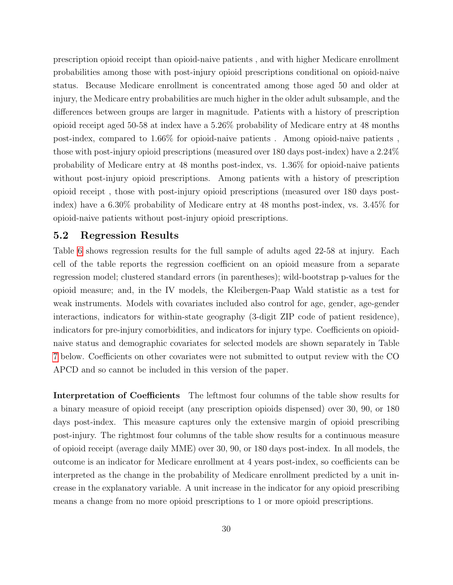prescription opioid receipt than opioid-naive patients , and with higher Medicare enrollment probabilities among those with post-injury opioid prescriptions conditional on opioid-naive status. Because Medicare enrollment is concentrated among those aged 50 and older at injury, the Medicare entry probabilities are much higher in the older adult subsample, and the differences between groups are larger in magnitude. Patients with a history of prescription opioid receipt aged 50-58 at index have a 5.26% probability of Medicare entry at 48 months post-index, compared to 1.66% for opioid-naive patients . Among opioid-naive patients , those with post-injury opioid prescriptions (measured over 180 days post-index) have a 2.24% probability of Medicare entry at 48 months post-index, vs. 1.36% for opioid-naive patients without post-injury opioid prescriptions. Among patients with a history of prescription opioid receipt , those with post-injury opioid prescriptions (measured over 180 days postindex) have a 6.30% probability of Medicare entry at 48 months post-index, vs. 3.45% for opioid-naive patients without post-injury opioid prescriptions.

#### 5.2 Regression Results

Table [6](#page-31-0) shows regression results for the full sample of adults aged 22-58 at injury. Each cell of the table reports the regression coefficient on an opioid measure from a separate regression model; clustered standard errors (in parentheses); wild-bootstrap p-values for the opioid measure; and, in the IV models, the Kleibergen-Paap Wald statistic as a test for weak instruments. Models with covariates included also control for age, gender, age-gender interactions, indicators for within-state geography (3-digit ZIP code of patient residence), indicators for pre-injury comorbidities, and indicators for injury type. Coefficients on opioidnaive status and demographic covariates for selected models are shown separately in Table [7](#page-33-0) below. Coefficients on other covariates were not submitted to output review with the CO APCD and so cannot be included in this version of the paper.

Interpretation of Coefficients The leftmost four columns of the table show results for a binary measure of opioid receipt (any prescription opioids dispensed) over 30, 90, or 180 days post-index. This measure captures only the extensive margin of opioid prescribing post-injury. The rightmost four columns of the table show results for a continuous measure of opioid receipt (average daily MME) over 30, 90, or 180 days post-index. In all models, the outcome is an indicator for Medicare enrollment at 4 years post-index, so coefficients can be interpreted as the change in the probability of Medicare enrollment predicted by a unit increase in the explanatory variable. A unit increase in the indicator for any opioid prescribing means a change from no more opioid prescriptions to 1 or more opioid prescriptions.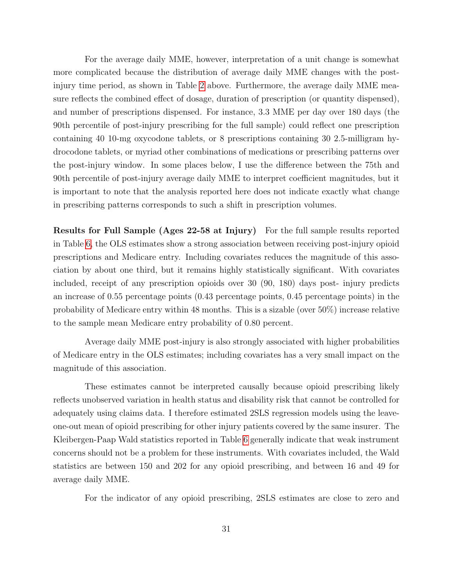For the average daily MME, however, interpretation of a unit change is somewhat more complicated because the distribution of average daily MME changes with the postinjury time period, as shown in Table [2](#page-15-0) above. Furthermore, the average daily MME measure reflects the combined effect of dosage, duration of prescription (or quantity dispensed), and number of prescriptions dispensed. For instance, 3.3 MME per day over 180 days (the 90th percentile of post-injury prescribing for the full sample) could reflect one prescription containing 40 10-mg oxycodone tablets, or 8 prescriptions containing 30 2.5-milligram hydrocodone tablets, or myriad other combinations of medications or prescribing patterns over the post-injury window. In some places below, I use the difference between the 75th and 90th percentile of post-injury average daily MME to interpret coefficient magnitudes, but it is important to note that the analysis reported here does not indicate exactly what change in prescribing patterns corresponds to such a shift in prescription volumes.

Results for Full Sample (Ages 22-58 at Injury) For the full sample results reported in Table [6,](#page-31-0) the OLS estimates show a strong association between receiving post-injury opioid prescriptions and Medicare entry. Including covariates reduces the magnitude of this association by about one third, but it remains highly statistically significant. With covariates included, receipt of any prescription opioids over 30 (90, 180) days post- injury predicts an increase of 0.55 percentage points (0.43 percentage points, 0.45 percentage points) in the probability of Medicare entry within 48 months. This is a sizable (over 50%) increase relative to the sample mean Medicare entry probability of 0.80 percent.

Average daily MME post-injury is also strongly associated with higher probabilities of Medicare entry in the OLS estimates; including covariates has a very small impact on the magnitude of this association.

These estimates cannot be interpreted causally because opioid prescribing likely reflects unobserved variation in health status and disability risk that cannot be controlled for adequately using claims data. I therefore estimated 2SLS regression models using the leaveone-out mean of opioid prescribing for other injury patients covered by the same insurer. The Kleibergen-Paap Wald statistics reported in Table [6](#page-31-0) generally indicate that weak instrument concerns should not be a problem for these instruments. With covariates included, the Wald statistics are between 150 and 202 for any opioid prescribing, and between 16 and 49 for average daily MME.

For the indicator of any opioid prescribing, 2SLS estimates are close to zero and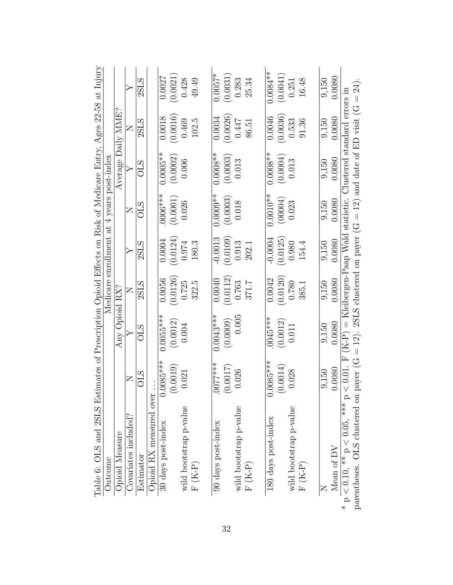<span id="page-31-0"></span>

| Table 6: OLS and 2SLS Estimates of Prescription Opioid Effects on Risk of Medicare Entry, Ages 22-58 at Injury |                  |                                                                                  |          |                  |                                           |                    |          |                  |
|----------------------------------------------------------------------------------------------------------------|------------------|----------------------------------------------------------------------------------|----------|------------------|-------------------------------------------|--------------------|----------|------------------|
| Outcome                                                                                                        |                  |                                                                                  |          |                  | Medicare enrollment at 4 years post-index |                    |          |                  |
| Opioid Measure                                                                                                 |                  | Any Opioid RX?                                                                   |          |                  |                                           | Average Daily MME? |          |                  |
| Covariates included?                                                                                           | $\geq$           |                                                                                  | Z        | $\triangleright$ | $\square$                                 |                    | Z        | $\triangleright$ |
| Estimator                                                                                                      | <b>OLS</b>       | <b>CLS</b>                                                                       | 2SLS     | 2SLS             | <b>OLS</b>                                | <b>CLS</b>         | 2SLS     | 2SLS             |
| Opioid RX measured over                                                                                        |                  |                                                                                  |          |                  |                                           |                    |          |                  |
| 30 days post-index                                                                                             | $0.0085***$      | $0.0055***$                                                                      | 0.0056   | 0.0004           | $0006***$                                 | $0.0005**$         | 0.0018   | 0.0027           |
|                                                                                                                | (0.0019)         | (0.0012)                                                                         | (0.0126) | (0.0124)         | (0.0001)                                  | (0.0002)           | (0.0016) | (0.0021)         |
| wild bootstrap p-value                                                                                         | 0.021            | 0.004                                                                            | 0.725    | 0.974            | 0.026                                     | 0.006              | 0.469    | 0.428            |
| $F(K-P)$                                                                                                       |                  |                                                                                  | 322.5    | 180.3            |                                           |                    | 102.5    | 49.49            |
| 90 days post-index                                                                                             | $***$<br>$×$ *** | $0.0043***$                                                                      | 0.0040   | $-0.0013$        | $0.0009**$                                | $0.0008**$         | 0.0034   | $0.0057*$        |
|                                                                                                                | (0.0017)         | (0.0009)                                                                         | (0.0112) | (0.0109)         | (0.0003)                                  | (0.0003)           | (0.0026) | (0.0031)         |
| wild bootstrap p-value                                                                                         | 0.026            | 0.005                                                                            | 0.763    | 0.913            | 0.018                                     | 0.013              | 0.447    | 0.283            |
| $F(K-P)$                                                                                                       |                  |                                                                                  | 371.7    | 202.1            |                                           |                    | 86.51    | 25.34            |
|                                                                                                                |                  |                                                                                  |          |                  |                                           |                    |          |                  |
| 180 days post-index                                                                                            | $0.0085***$      | $0045***$                                                                        | 0.0042   | $-0.0004$        | $0.0010**$                                | $0.0008**$         | 0.0046   | $0.0084**$       |
|                                                                                                                | (0.0014)         | (0.0012)                                                                         | (0.0120) | (0.0125)         | (00004)                                   | (0.0004)           | 0.0036   | (0.0041)         |
| wild bootstrap p-value                                                                                         | 0.028            | 0.011                                                                            | 0.780    | 0.980            | 0.023                                     | 0.013              | 0.533    | 0.251            |
| $F(K-P)$                                                                                                       |                  |                                                                                  | 385.1    | 154.4            |                                           |                    | 91.36    | 16.48            |
|                                                                                                                |                  |                                                                                  |          |                  |                                           |                    |          |                  |
|                                                                                                                | 9,150            | 9,150                                                                            | 9,150    | 9,150            | 9,150                                     | 9,150              | 9,150    | 9,150            |
| Mean of ${\rm DV}$                                                                                             | 0.0080           | 0.0080                                                                           | 0.0080   | 0.0080           | 0.0080                                    | 0.0080             | 0.0080   | 0.0080           |
| * $p \leq 0.10$ , ** $p < 0.05$ , *** $p$                                                                      |                  | $<$ 0.01. F (K-P) = Kleibergen-Paap Wald statistic. Clustered standard errors in |          |                  |                                           |                    |          |                  |
| parentheses. OLS clustered on                                                                                  |                  | payer (G = 12). 2SLS clustered on payer (G = 12) and date of ED visit (G = 24)   |          |                  |                                           |                    |          |                  |

32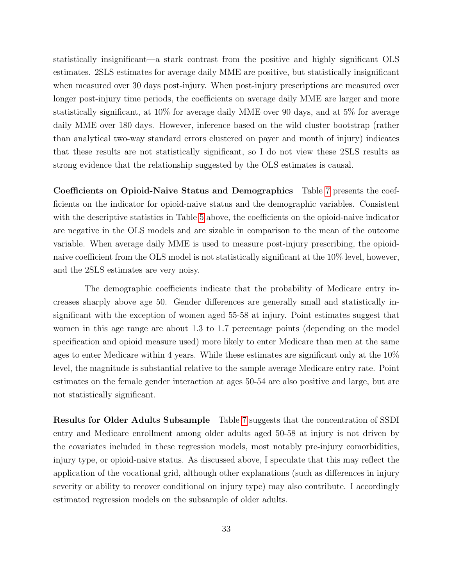statistically insignificant—a stark contrast from the positive and highly significant OLS estimates. 2SLS estimates for average daily MME are positive, but statistically insignificant when measured over 30 days post-injury. When post-injury prescriptions are measured over longer post-injury time periods, the coefficients on average daily MME are larger and more statistically significant, at 10% for average daily MME over 90 days, and at 5% for average daily MME over 180 days. However, inference based on the wild cluster bootstrap (rather than analytical two-way standard errors clustered on payer and month of injury) indicates that these results are not statistically significant, so I do not view these 2SLS results as strong evidence that the relationship suggested by the OLS estimates is causal.

Coefficients on Opioid-Naive Status and Demographics Table [7](#page-33-0) presents the coefficients on the indicator for opioid-naive status and the demographic variables. Consistent with the descriptive statistics in Table [5](#page-28-0) above, the coefficients on the opioid-naive indicator are negative in the OLS models and are sizable in comparison to the mean of the outcome variable. When average daily MME is used to measure post-injury prescribing, the opioidnaive coefficient from the OLS model is not statistically significant at the 10% level, however, and the 2SLS estimates are very noisy.

The demographic coefficients indicate that the probability of Medicare entry increases sharply above age 50. Gender differences are generally small and statistically insignificant with the exception of women aged 55-58 at injury. Point estimates suggest that women in this age range are about 1.3 to 1.7 percentage points (depending on the model specification and opioid measure used) more likely to enter Medicare than men at the same ages to enter Medicare within 4 years. While these estimates are significant only at the 10% level, the magnitude is substantial relative to the sample average Medicare entry rate. Point estimates on the female gender interaction at ages 50-54 are also positive and large, but are not statistically significant.

Results for Older Adults Subsample Table [7](#page-33-0) suggests that the concentration of SSDI entry and Medicare enrollment among older adults aged 50-58 at injury is not driven by the covariates included in these regression models, most notably pre-injury comorbidities, injury type, or opioid-naive status. As discussed above, I speculate that this may reflect the application of the vocational grid, although other explanations (such as differences in injury severity or ability to recover conditional on injury type) may also contribute. I accordingly estimated regression models on the subsample of older adults.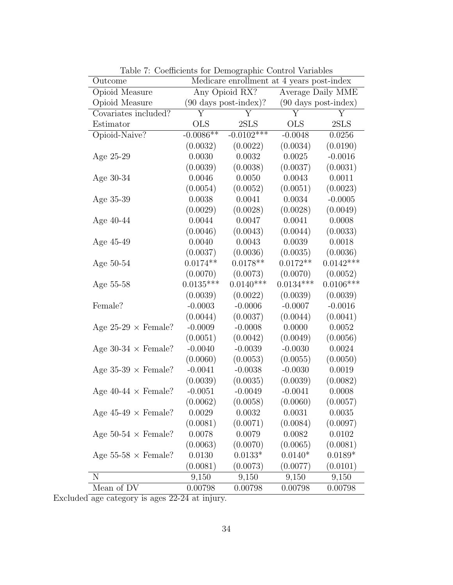| Outcome                    |             | Medicare enrollment at 4 years post-index |                    |                                |
|----------------------------|-------------|-------------------------------------------|--------------------|--------------------------------|
| Opioid Measure             |             | Any Opioid RX?                            |                    | Average Daily MME              |
| Opioid Measure             |             | $(90 \text{ days post-index})$ ?          |                    | $(90 \text{ days post-index})$ |
| Covariates included?       | Υ           | Y                                         | $\overline{\rm Y}$ | Υ                              |
| Estimator                  | <b>OLS</b>  | 2SLS                                      | <b>OLS</b>         | 2SLS                           |
| Opioid-Naive?              | $-0.0086**$ | $-0.0102***$                              | $-0.0048$          | 0.0256                         |
|                            | (0.0032)    | (0.0022)                                  | (0.0034)           | (0.0190)                       |
| Age 25-29                  | 0.0030      | 0.0032                                    | 0.0025             | $-0.0016$                      |
|                            | (0.0039)    | (0.0038)                                  | (0.0037)           | (0.0031)                       |
| Age $30-34$                | 0.0046      | 0.0050                                    | 0.0043             | 0.0011                         |
|                            | (0.0054)    | (0.0052)                                  | (0.0051)           | (0.0023)                       |
| Age 35-39                  | 0.0038      | 0.0041                                    | 0.0034             | $-0.0005$                      |
|                            | (0.0029)    | (0.0028)                                  | (0.0028)           | (0.0049)                       |
| Age $40-44$                | 0.0044      | 0.0047                                    | 0.0041             | 0.0008                         |
|                            | (0.0046)    | (0.0043)                                  | (0.0044)           | (0.0033)                       |
| Age 45-49                  | 0.0040      | 0.0043                                    | 0.0039             | 0.0018                         |
|                            | (0.0037)    | (0.0036)                                  | (0.0035)           | (0.0036)                       |
| Age $50-54$                | $0.0174**$  | $0.0178**$                                | $0.0172**$         | $0.0142***$                    |
|                            | (0.0070)    | (0.0073)                                  | (0.0070)           | (0.0052)                       |
| Age 55-58                  | $0.0135***$ | $0.0140***$                               | $0.0134***$        | $0.0106***$                    |
|                            | (0.0039)    | (0.0022)                                  | (0.0039)           | (0.0039)                       |
| Female?                    | $-0.0003$   | $-0.0006$                                 | $-0.0007$          | $-0.0016$                      |
|                            | (0.0044)    | (0.0037)                                  | (0.0044)           | (0.0041)                       |
| Age $25-29 \times$ Female? | $-0.0009$   | $-0.0008$                                 | 0.0000             | 0.0052                         |
|                            | (0.0051)    | (0.0042)                                  | (0.0049)           | (0.0056)                       |
| Age 30-34 $\times$ Female? | $-0.0040$   | $-0.0039$                                 | $-0.0030$          | 0.0024                         |
|                            | (0.0060)    | (0.0053)                                  | (0.0055)           | (0.0050)                       |
| Age $35-39 \times$ Female? | $-0.0041$   | $-0.0038$                                 | $-0.0030$          | 0.0019                         |
|                            | (0.0039)    | (0.0035)                                  | (0.0039)           | (0.0082)                       |
| Age $40-44 \times$ Female? | $-0.0051$   | $-0.0049$                                 | $-0.0041$          | 0.0008                         |
|                            | (0.0062)    | (0.0058)                                  | (0.0060)           | (0.0057)                       |
| Age $45-49 \times$ Female? | 0.0029      | 0.0032                                    | 0.0031             | 0.0035                         |
|                            | (0.0081)    | (0.0071)                                  | (0.0084)           | (0.0097)                       |
| Age 50-54 $\times$ Female? | 0.0078      | 0.0079                                    | 0.0082             | 0.0102                         |
|                            | (0.0063)    | (0.0070)                                  | (0.0065)           | (0.0081)                       |
| Age $55-58 \times$ Female? | 0.0130      | $0.0133*$                                 | $0.0140*$          | $0.0189*$                      |
|                            | (0.0081)    | (0.0073)                                  | (0.0077)           | (0.0101)                       |
| N                          | 9,150       | 9,150                                     | 9,150              | 9,150                          |
| Mean of DV                 | 0.00798     | 0.00798                                   | 0.00798            | 0.00798                        |

<span id="page-33-0"></span>Table 7: Coefficients for Demographic Control Variables

Excluded age category is ages 22-24 at injury.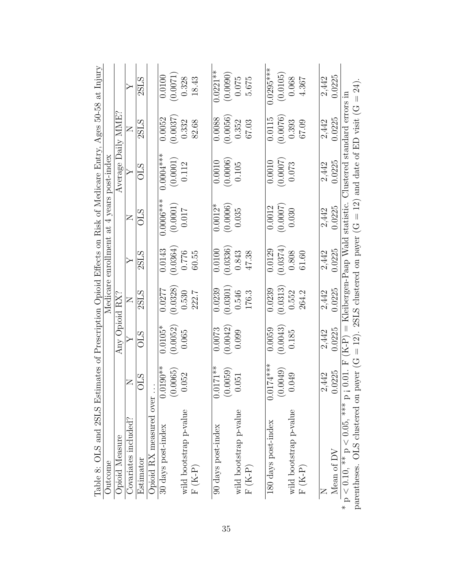<span id="page-34-0"></span>

| Table 8: OLS and 2SLS Estimates of Prescription Opioid Effects on Risk of Medicare Entry, Ages 50-58 at Injury |              |                |          |                  |                                                                                |                              |          |                  |
|----------------------------------------------------------------------------------------------------------------|--------------|----------------|----------|------------------|--------------------------------------------------------------------------------|------------------------------|----------|------------------|
| Outcome                                                                                                        |              |                |          |                  | Medicare enrollment at 4 years post-index                                      |                              |          |                  |
| Opioid Measure                                                                                                 |              | Any Opioid RX? |          |                  |                                                                                | Average Daily MME?           |          |                  |
| Covariates included?                                                                                           | $\mathsf{Z}$ |                | Z        | $\triangleright$ | Z                                                                              |                              | Z        | $\triangleright$ |
| Estimator                                                                                                      | STO          | STO            | 2SLS     | 2SLS             | ОLS                                                                            | STO                          | 2SLS     | 2SLS             |
| Opioid RX measured over                                                                                        |              |                |          |                  |                                                                                |                              |          |                  |
| 30 days post-index                                                                                             | $0.0190**$   | $0.0105*$      | 0.0277   | 0.0143           | $0.0006***$                                                                    | $0.0004***$                  | 0.0052   | 0.0100           |
|                                                                                                                | (0.0065)     | (0.0052)       | (0.0328) | (0.0364)         | (0.0001)                                                                       | (0.0001)                     | (0.0037) | (0.0071)         |
| wild bootstrap p-value                                                                                         | 0.052        | 0.065          | 0.530    | 0.776            | 0.017                                                                          | 0.112                        | 0.332    | 0.328            |
| $F(K-P)$                                                                                                       |              |                | 222.7    | 60.55            |                                                                                |                              | 82.68    | 18.43            |
| 90 days post-index                                                                                             | $0.0171**$   | 0.0073         | 0.0239   | 0.0100           | $0.0012*$                                                                      | 0.0010                       | 0.0088   | $0.0221***$      |
|                                                                                                                |              |                |          |                  |                                                                                |                              |          |                  |
|                                                                                                                | (0.0059)     | (0.0042)       | (0.0301) | (0.0336)         | (0.0006)                                                                       | (0.0006)                     | (0.0056) | (0.0090)         |
| wild bootstrap p-value                                                                                         | 0.051        | 0.099          | 0.546    | 0.843            | 0.035                                                                          | 0.105                        | 0.352    | 0.075            |
| $F(K-P)$                                                                                                       |              |                | 176.3    | 47.38            |                                                                                |                              | 67.03    | 5.675            |
|                                                                                                                |              |                |          |                  |                                                                                |                              |          |                  |
| 180 days post-index                                                                                            | $0.0174***$  | 0.0059         | 0.0239   | 0.0129           | 0.0012                                                                         | 0.0010                       | 0.0115   | $0.0295***$      |
|                                                                                                                | (0.0049)     | (0.0043)       | (0.0313) | (0.0374)         | (0.0007)                                                                       | (0.0007)                     | (0.0076) | (0.0105)         |
| wild bootstrap p-value                                                                                         | 0.049        | 0.185          | 0.552    | 0.808            | 0.030                                                                          | 0.073                        | 0.393    | 0.068            |
| $F(K-P)$                                                                                                       |              |                | 264.2    | 61.60            |                                                                                |                              | 67.09    | 4.367            |
|                                                                                                                |              |                |          |                  |                                                                                |                              |          |                  |
|                                                                                                                | 2,442        | 2,442          | 2,442    | 2,442            | 2,442                                                                          | 2,442                        | 2,442    | 2,442            |
| Mean of $\mathrm{DV}$                                                                                          | 0.0225       | 0.0225         | 0.0225   | 0.0225           | 0.0225                                                                         | 0.0225                       | 0.0225   | 0.0225           |
| $* p < 0.10, ** p < 0.05, ** p$                                                                                |              |                |          |                  | $(1.01. F (K-P) =$ Kleibergen-Paap Wald statistic.                             | Clustered standard errors in |          |                  |
| parentheses. OLS clustered on                                                                                  |              |                |          |                  | payer (G = 12). 28LS clustered on payer (G = 12) and date of ED visit (G = 24) |                              |          |                  |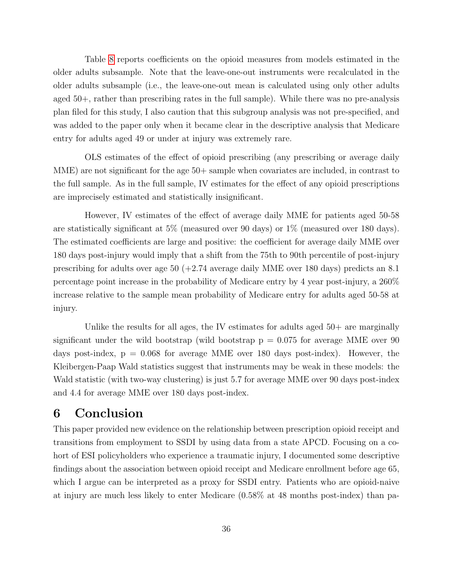Table [8](#page-34-0) reports coefficients on the opioid measures from models estimated in the older adults subsample. Note that the leave-one-out instruments were recalculated in the older adults subsample (i.e., the leave-one-out mean is calculated using only other adults aged 50+, rather than prescribing rates in the full sample). While there was no pre-analysis plan filed for this study, I also caution that this subgroup analysis was not pre-specified, and was added to the paper only when it became clear in the descriptive analysis that Medicare entry for adults aged 49 or under at injury was extremely rare.

OLS estimates of the effect of opioid prescribing (any prescribing or average daily MME) are not significant for the age 50+ sample when covariates are included, in contrast to the full sample. As in the full sample, IV estimates for the effect of any opioid prescriptions are imprecisely estimated and statistically insignificant.

However, IV estimates of the effect of average daily MME for patients aged 50-58 are statistically significant at 5% (measured over 90 days) or 1% (measured over 180 days). The estimated coefficients are large and positive: the coefficient for average daily MME over 180 days post-injury would imply that a shift from the 75th to 90th percentile of post-injury prescribing for adults over age 50 (+2.74 average daily MME over 180 days) predicts an 8.1 percentage point increase in the probability of Medicare entry by 4 year post-injury, a 260% increase relative to the sample mean probability of Medicare entry for adults aged 50-58 at injury.

Unlike the results for all ages, the IV estimates for adults aged  $50+$  are marginally significant under the wild bootstrap (wild bootstrap  $p = 0.075$  for average MME over 90 days post-index,  $p = 0.068$  for average MME over 180 days post-index). However, the Kleibergen-Paap Wald statistics suggest that instruments may be weak in these models: the Wald statistic (with two-way clustering) is just 5.7 for average MME over 90 days post-index and 4.4 for average MME over 180 days post-index.

# <span id="page-35-0"></span>6 Conclusion

This paper provided new evidence on the relationship between prescription opioid receipt and transitions from employment to SSDI by using data from a state APCD. Focusing on a cohort of ESI policyholders who experience a traumatic injury, I documented some descriptive findings about the association between opioid receipt and Medicare enrollment before age 65, which I argue can be interpreted as a proxy for SSDI entry. Patients who are opioid-naive at injury are much less likely to enter Medicare (0.58% at 48 months post-index) than pa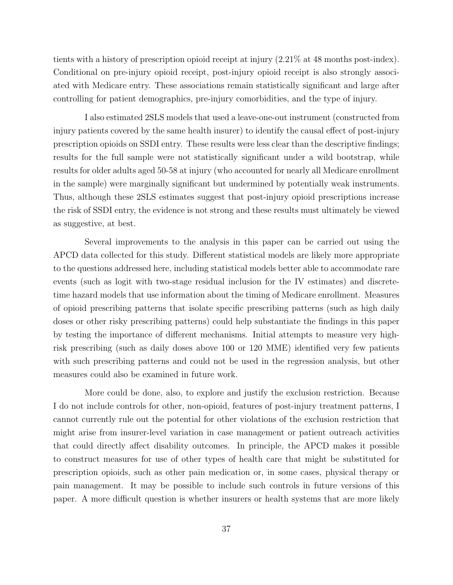tients with a history of prescription opioid receipt at injury (2.21% at 48 months post-index). Conditional on pre-injury opioid receipt, post-injury opioid receipt is also strongly associated with Medicare entry. These associations remain statistically significant and large after controlling for patient demographics, pre-injury comorbidities, and the type of injury.

I also estimated 2SLS models that used a leave-one-out instrument (constructed from injury patients covered by the same health insurer) to identify the causal effect of post-injury prescription opioids on SSDI entry. These results were less clear than the descriptive findings; results for the full sample were not statistically significant under a wild bootstrap, while results for older adults aged 50-58 at injury (who accounted for nearly all Medicare enrollment in the sample) were marginally significant but undermined by potentially weak instruments. Thus, although these 2SLS estimates suggest that post-injury opioid prescriptions increase the risk of SSDI entry, the evidence is not strong and these results must ultimately be viewed as suggestive, at best.

Several improvements to the analysis in this paper can be carried out using the APCD data collected for this study. Different statistical models are likely more appropriate to the questions addressed here, including statistical models better able to accommodate rare events (such as logit with two-stage residual inclusion for the IV estimates) and discretetime hazard models that use information about the timing of Medicare enrollment. Measures of opioid prescribing patterns that isolate specific prescribing patterns (such as high daily doses or other risky prescribing patterns) could help substantiate the findings in this paper by testing the importance of different mechanisms. Initial attempts to measure very highrisk prescribing (such as daily doses above 100 or 120 MME) identified very few patients with such prescribing patterns and could not be used in the regression analysis, but other measures could also be examined in future work.

More could be done, also, to explore and justify the exclusion restriction. Because I do not include controls for other, non-opioid, features of post-injury treatment patterns, I cannot currently rule out the potential for other violations of the exclusion restriction that might arise from insurer-level variation in case management or patient outreach activities that could directly affect disability outcomes. In principle, the APCD makes it possible to construct measures for use of other types of health care that might be substituted for prescription opioids, such as other pain medication or, in some cases, physical therapy or pain management. It may be possible to include such controls in future versions of this paper. A more difficult question is whether insurers or health systems that are more likely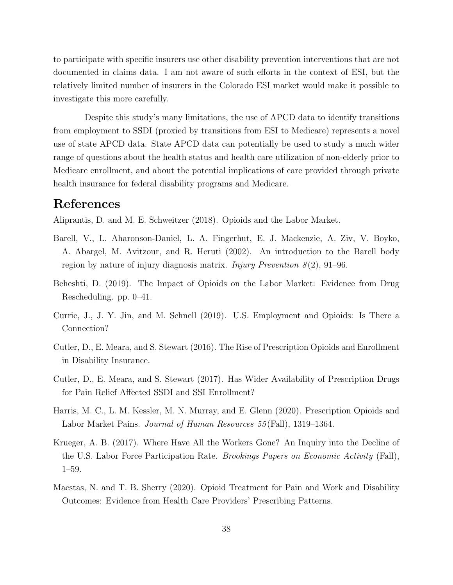to participate with specific insurers use other disability prevention interventions that are not documented in claims data. I am not aware of such efforts in the context of ESI, but the relatively limited number of insurers in the Colorado ESI market would make it possible to investigate this more carefully.

Despite this study's many limitations, the use of APCD data to identify transitions from employment to SSDI (proxied by transitions from ESI to Medicare) represents a novel use of state APCD data. State APCD data can potentially be used to study a much wider range of questions about the health status and health care utilization of non-elderly prior to Medicare enrollment, and about the potential implications of care provided through private health insurance for federal disability programs and Medicare.

### References

<span id="page-37-4"></span>Aliprantis, D. and M. E. Schweitzer (2018). Opioids and the Labor Market.

- <span id="page-37-1"></span>Barell, V., L. Aharonson-Daniel, L. A. Fingerhut, E. J. Mackenzie, A. Ziv, V. Boyko, A. Abargel, M. Avitzour, and R. Heruti (2002). An introduction to the Barell body region by nature of injury diagnosis matrix. *Injury Prevention 8*(2), 91–96.
- <span id="page-37-6"></span>Beheshti, D. (2019). The Impact of Opioids on the Labor Market: Evidence from Drug Rescheduling. pp. 0–41.
- <span id="page-37-7"></span>Currie, J., J. Y. Jin, and M. Schnell (2019). U.S. Employment and Opioids: Is There a Connection?
- <span id="page-37-3"></span>Cutler, D., E. Meara, and S. Stewart (2016). The Rise of Prescription Opioids and Enrollment in Disability Insurance.
- <span id="page-37-2"></span>Cutler, D., E. Meara, and S. Stewart (2017). Has Wider Availability of Prescription Drugs for Pain Relief Affected SSDI and SSI Enrollment?
- <span id="page-37-5"></span>Harris, M. C., L. M. Kessler, M. N. Murray, and E. Glenn (2020). Prescription Opioids and Labor Market Pains. Journal of Human Resources 55 (Fall), 1319–1364.
- <span id="page-37-0"></span>Krueger, A. B. (2017). Where Have All the Workers Gone? An Inquiry into the Decline of the U.S. Labor Force Participation Rate. Brookings Papers on Economic Activity (Fall), 1–59.
- <span id="page-37-8"></span>Maestas, N. and T. B. Sherry (2020). Opioid Treatment for Pain and Work and Disability Outcomes: Evidence from Health Care Providers' Prescribing Patterns.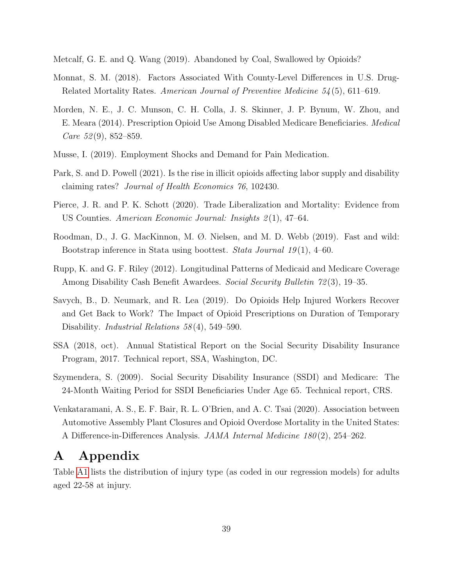<span id="page-38-8"></span>Metcalf, G. E. and Q. Wang (2019). Abandoned by Coal, Swallowed by Opioids?

- <span id="page-38-4"></span>Monnat, S. M. (2018). Factors Associated With County-Level Differences in U.S. Drug-Related Mortality Rates. American Journal of Preventive Medicine 54 (5), 611–619.
- <span id="page-38-0"></span>Morden, N. E., J. C. Munson, C. H. Colla, J. S. Skinner, J. P. Bynum, W. Zhou, and E. Meara (2014). Prescription Opioid Use Among Disabled Medicare Beneficiaries. Medical *Care* 52(9), 852–859.
- <span id="page-38-9"></span>Musse, I. (2019). Employment Shocks and Demand for Pain Medication.
- <span id="page-38-5"></span>Park, S. and D. Powell (2021). Is the rise in illicit opioids affecting labor supply and disability claiming rates? Journal of Health Economics 76, 102430.
- <span id="page-38-6"></span>Pierce, J. R. and P. K. Schott (2020). Trade Liberalization and Mortality: Evidence from US Counties. American Economic Journal: Insights 2(1), 47–64.
- <span id="page-38-11"></span>Roodman, D., J. G. MacKinnon, M. Ø. Nielsen, and M. D. Webb (2019). Fast and wild: Bootstrap inference in Stata using boottest. Stata Journal 19(1), 4–60.
- <span id="page-38-3"></span>Rupp, K. and G. F. Riley (2012). Longitudinal Patterns of Medicaid and Medicare Coverage Among Disability Cash Benefit Awardees. Social Security Bulletin 72 (3), 19–35.
- <span id="page-38-10"></span>Savych, B., D. Neumark, and R. Lea (2019). Do Opioids Help Injured Workers Recover and Get Back to Work? The Impact of Opioid Prescriptions on Duration of Temporary Disability. *Industrial Relations* 58(4), 549–590.
- <span id="page-38-1"></span>SSA (2018, oct). Annual Statistical Report on the Social Security Disability Insurance Program, 2017. Technical report, SSA, Washington, DC.
- <span id="page-38-2"></span>Szymendera, S. (2009). Social Security Disability Insurance (SSDI) and Medicare: The 24-Month Waiting Period for SSDI Beneficiaries Under Age 65. Technical report, CRS.
- <span id="page-38-7"></span>Venkataramani, A. S., E. F. Bair, R. L. O'Brien, and A. C. Tsai (2020). Association between Automotive Assembly Plant Closures and Opioid Overdose Mortality in the United States: A Difference-in-Differences Analysis. JAMA Internal Medicine 180 (2), 254–262.

### A Appendix

Table [A1](#page-14-0) lists the distribution of injury type (as coded in our regression models) for adults aged 22-58 at injury.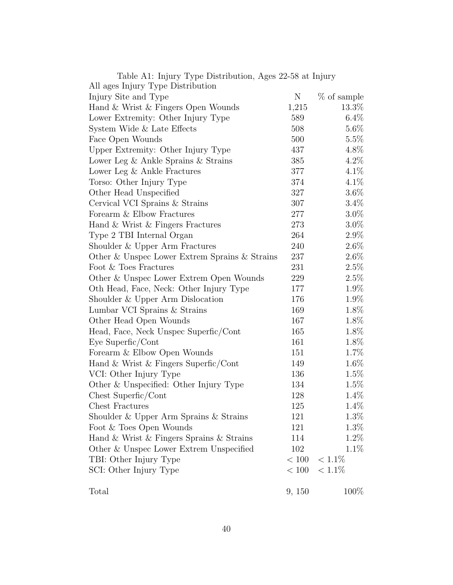| $\alpha$ and $\alpha$ is a subset of $\alpha$ is a subset of $\alpha$ in $\alpha$ in $\alpha$ . |         |             |
|-------------------------------------------------------------------------------------------------|---------|-------------|
| All ages Injury Type Distribution                                                               |         |             |
| Injury Site and Type                                                                            | N       | % of sample |
| Hand & Wrist & Fingers Open Wounds                                                              | 1,215   | 13.3%       |
| Lower Extremity: Other Injury Type                                                              | 589     | $6.4\%$     |
| System Wide & Late Effects                                                                      | 508     | $5.6\%$     |
| Face Open Wounds                                                                                | 500     | $5.5\%$     |
| Upper Extremity: Other Injury Type                                                              | 437     | 4.8%        |
| Lower Leg & Ankle Sprains & Strains                                                             | 385     | $4.2\%$     |
| Lower Leg & Ankle Fractures                                                                     | 377     | $4.1\%$     |
| Torso: Other Injury Type                                                                        | 374     | $4.1\%$     |
| Other Head Unspecified                                                                          | 327     | $3.6\%$     |
| Cervical VCI Sprains & Strains                                                                  | 307     | $3.4\%$     |
| Forearm & Elbow Fractures                                                                       | $277\,$ | $3.0\%$     |
| Hand & Wrist & Fingers Fractures                                                                | 273     | $3.0\%$     |
| Type 2 TBI Internal Organ                                                                       | 264     | $2.9\%$     |
| Shoulder & Upper Arm Fractures                                                                  | 240     | $2.6\%$     |
| Other & Unspec Lower Extrem Sprains & Strains                                                   | 237     | $2.6\%$     |
| Foot & Toes Fractures                                                                           | 231     | 2.5%        |
| Other & Unspec Lower Extrem Open Wounds                                                         | 229     | $2.5\%$     |
| Oth Head, Face, Neck: Other Injury Type                                                         | 177     | 1.9%        |
| Shoulder & Upper Arm Dislocation                                                                | 176     | 1.9%        |
| Lumbar VCI Sprains & Strains                                                                    | 169     | 1.8%        |
| Other Head Open Wounds                                                                          | 167     | 1.8%        |
| Head, Face, Neck Unspec Superfic/Cont                                                           | 165     | 1.8%        |
| Eye Superfic/Cont                                                                               | 161     | 1.8%        |
| Forearm & Elbow Open Wounds                                                                     | 151     | 1.7%        |
| Hand & Wrist & Fingers Superfic/Cont                                                            | 149     | $1.6\%$     |
| VCI: Other Injury Type                                                                          | 136     | $1.5\%$     |
| Other & Unspecified: Other Injury Type                                                          | 134     | 1.5%        |
| Chest Superfic/Cont                                                                             | 128     | 1.4\%       |
| Chest Fractures                                                                                 | 125     | 1.4%        |
| Shoulder & Upper Arm Sprains & Strains                                                          | 121     | $1.3\%$     |
| Foot & Toes Open Wounds                                                                         | 121     | 1.3%        |
| Hand & Wrist & Fingers Sprains & Strains                                                        | 114     | 1.2%        |
| Other & Unspec Lower Extrem Unspecified                                                         | 102     | $1.1\%$     |
| TBI: Other Injury Type                                                                          | < 100   | $< 1.1\%$   |
| SCI: Other Injury Type                                                                          | < 100   | $< 1.1\%$   |
| Total                                                                                           |         | 100%        |
|                                                                                                 | 9, 150  |             |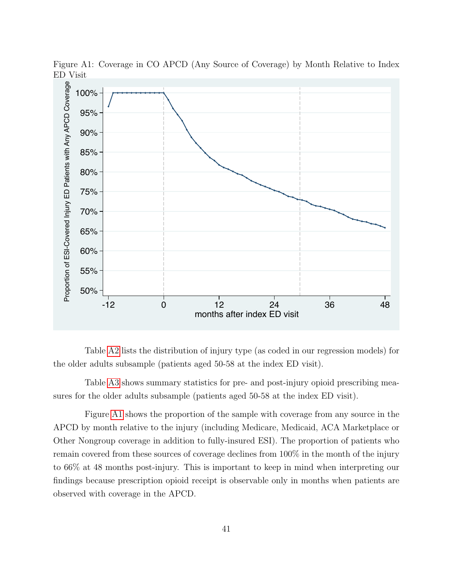

Figure A1: Coverage in CO APCD (Any Source of Coverage) by Month Relative to Index ED Visit

Table [A2](#page-15-0) lists the distribution of injury type (as coded in our regression models) for the older adults subsample (patients aged 50-58 at the index ED visit).

Table [A3](#page-18-0) shows summary statistics for pre- and post-injury opioid prescribing measures for the older adults subsample (patients aged 50-58 at the index ED visit).

Figure [A1](#page-13-0) shows the proportion of the sample with coverage from any source in the APCD by month relative to the injury (including Medicare, Medicaid, ACA Marketplace or Other Nongroup coverage in addition to fully-insured ESI). The proportion of patients who remain covered from these sources of coverage declines from 100% in the month of the injury to 66% at 48 months post-injury. This is important to keep in mind when interpreting our findings because prescription opioid receipt is observable only in months when patients are observed with coverage in the APCD.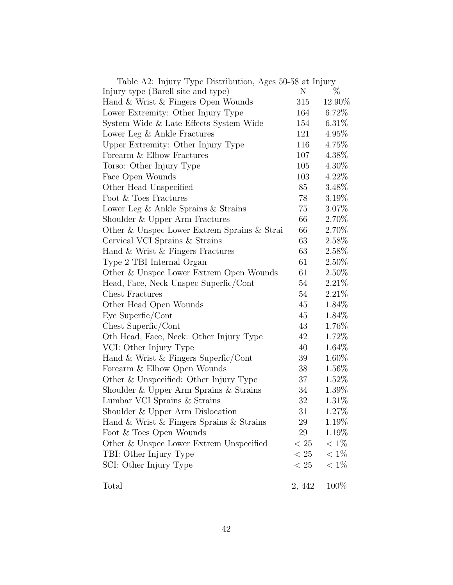| Table A2: Injury Type Distribution, Ages 50-58 at Injury |        |          |
|----------------------------------------------------------|--------|----------|
| Injury type (Barell site and type)                       | N      | %        |
| Hand & Wrist & Fingers Open Wounds                       | 315    | 12.90\%  |
| Lower Extremity: Other Injury Type                       | 164    | $6.72\%$ |
| System Wide & Late Effects System Wide                   | 154    | 6.31%    |
| Lower Leg & Ankle Fractures                              | 121    | 4.95%    |
| Upper Extremity: Other Injury Type                       | 116    | 4.75%    |
| Forearm & Elbow Fractures                                | 107    | 4.38%    |
| Torso: Other Injury Type                                 | 105    | 4.30%    |
| Face Open Wounds                                         | 103    | 4.22%    |
| Other Head Unspecified                                   | 85     | 3.48%    |
| Foot & Toes Fractures                                    | 78     | $3.19\%$ |
| Lower Leg $&$ Ankle Sprains $&$ Strains                  | 75     | 3.07%    |
| Shoulder & Upper Arm Fractures                           | 66     | 2.70%    |
| Other & Unspec Lower Extrem Sprains & Strai              | 66     | 2.70%    |
| Cervical VCI Sprains & Strains                           | 63     | 2.58%    |
| Hand & Wrist & Fingers Fractures                         | 63     | 2.58%    |
| Type 2 TBI Internal Organ                                | 61     | $2.50\%$ |
| Other & Unspec Lower Extrem Open Wounds                  | 61     | 2.50%    |
| Head, Face, Neck Unspec Superfic/Cont                    | 54     | 2.21%    |
| <b>Chest Fractures</b>                                   | 54     | 2.21%    |
| Other Head Open Wounds                                   | 45     | 1.84\%   |
| Eye Superfic/Cont                                        | 45     | 1.84%    |
| Chest Superfic/Cont                                      | 43     | 1.76%    |
| Oth Head, Face, Neck: Other Injury Type                  | 42     | 1.72%    |
| VCI: Other Injury Type                                   | 40     | $1.64\%$ |
| Hand & Wrist & Fingers Superfic/Cont                     | 39     | $1.60\%$ |
| Forearm & Elbow Open Wounds                              | 38     | 1.56%    |
| Other & Unspecified: Other Injury Type                   | 37     | 1.52\%   |
| Shoulder & Upper Arm Sprains & Strains                   | 34     | 1.39%    |
| Lumbar VCI Sprains & Strains                             | 32     | 1.31\%   |
| Shoulder & Upper Arm Dislocation                         | 31     | $1.27\%$ |
| Hand & Wrist & Fingers Sprains & Strains                 | 29     | 1.19%    |
| Foot & Toes Open Wounds                                  | 29     | $1.19\%$ |
| Other & Unspec Lower Extrem Unspecified                  | < 25   | $< 1\%$  |
| TBI: Other Injury Type                                   | < 25   | $< 1\%$  |
| SCI: Other Injury Type                                   | < 25   | $< 1\%$  |
| Total                                                    | 2, 442 | 100\%    |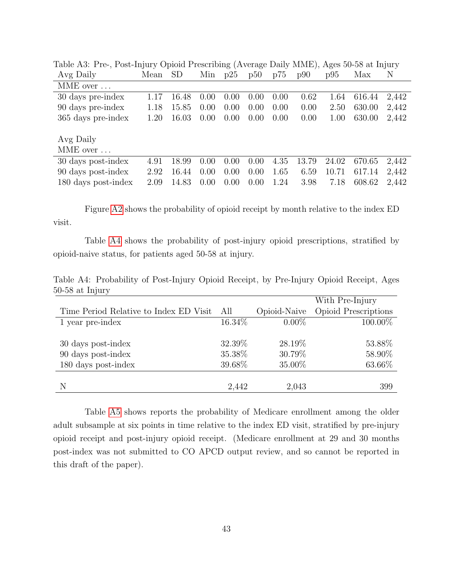| Avg Daily           | Mean | <b>SD</b> | Min  | p25  | p50  | p75  | p90   | p95   | Max    | N     |
|---------------------|------|-----------|------|------|------|------|-------|-------|--------|-------|
| MME over            |      |           |      |      |      |      |       |       |        |       |
| 30 days pre-index   | 1.17 | 16.48     | 0.00 | 0.00 | 0.00 | 0.00 | 0.62  | 1.64  | 616.44 | 2,442 |
| 90 days pre-index   | 1.18 | 15.85     | 0.00 | 0.00 | 0.00 | 0.00 | 0.00  | 2.50  | 630.00 | 2,442 |
| 365 days pre-index  | 1.20 | 16.03     | 0.00 | 0.00 | 0.00 | 0.00 | 0.00  | 1.00  | 630.00 | 2,442 |
|                     |      |           |      |      |      |      |       |       |        |       |
| Avg Daily           |      |           |      |      |      |      |       |       |        |       |
| MME over            |      |           |      |      |      |      |       |       |        |       |
| 30 days post-index  | 4.91 | 18.99     | 0.00 | 0.00 | 0.00 | 4.35 | 13.79 | 24.02 | 670.65 | 2,442 |
| 90 days post-index  | 2.92 | 16.44     | 0.00 | 0.00 | 0.00 | 1.65 | 6.59  | 10.71 | 617.14 | 2,442 |
| 180 days post-index | 2.09 | 14.83     | 0.00 | 0.00 | 0.00 | 1.24 | 3.98  | 7.18  | 608.62 | 2.442 |

Table A3: Pre-, Post-Injury Opioid Prescribing (Average Daily MME), Ages 50-58 at Injury

Figure [A2](#page-17-0) shows the probability of opioid receipt by month relative to the index ED visit.

Table [A4](#page-20-0) shows the probability of post-injury opioid prescriptions, stratified by opioid-naive status, for patients aged 50-58 at injury.

Table A4: Probability of Post-Injury Opioid Receipt, by Pre-Injury Opioid Receipt, Ages 50-58 at Injury

|                                        |         |              | With Pre-Injury      |
|----------------------------------------|---------|--------------|----------------------|
| Time Period Relative to Index ED Visit | All     | Opioid-Naive | Opioid Prescriptions |
| 1 year pre-index                       | 16.34\% | $0.00\%$     | 100.00%              |
|                                        |         |              |                      |
| 30 days post-index                     | 32.39%  | 28.19%       | 53.88%               |
| 90 days post-index                     | 35.38%  | 30.79%       | 58.90%               |
| 180 days post-index                    | 39.68%  | 35.00%       | 63.66%               |
|                                        |         |              |                      |
| N                                      | 2,442   | 2,043        | 399                  |

Table [A5](#page-28-0) shows reports the probability of Medicare enrollment among the older adult subsample at six points in time relative to the index ED visit, stratified by pre-injury opioid receipt and post-injury opioid receipt. (Medicare enrollment at 29 and 30 months post-index was not submitted to CO APCD output review, and so cannot be reported in this draft of the paper).